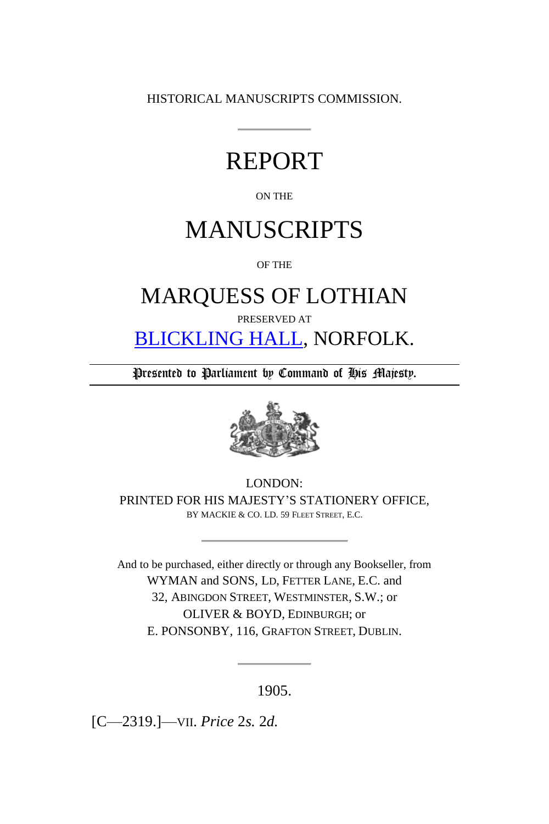HISTORICAL MANUSCRIPTS COMMISSION.

# REPORT

#### ON THE

# MANUSCRIPTS

OF THE

## MARQUESS OF LOTHIAN

PRESERVED AT

[BLICKLING HALL,](http://en.wikipedia.org/wiki/Blickling_Hall) NORFOLK.

Presented to Parliament by Command of His Majesty.



LONDON: PRINTED FOR HIS MAJESTY'S STATIONERY OFFICE, BY MACKIE & CO. LD. 59 FLEET STREET, E.C.

And to be purchased, either directly or through any Bookseller, from WYMAN and SONS, LD, FETTER LANE, E.C. and 32, ABINGDON STREET, WESTMINSTER, S.W.; or OLIVER & BOYD, EDINBURGH; or E. PONSONBY*,* 116, GRAFTON STREET, DUBLIN.

1905.

[C—2319.]—VII. *Price* 2*s.* 2*d.*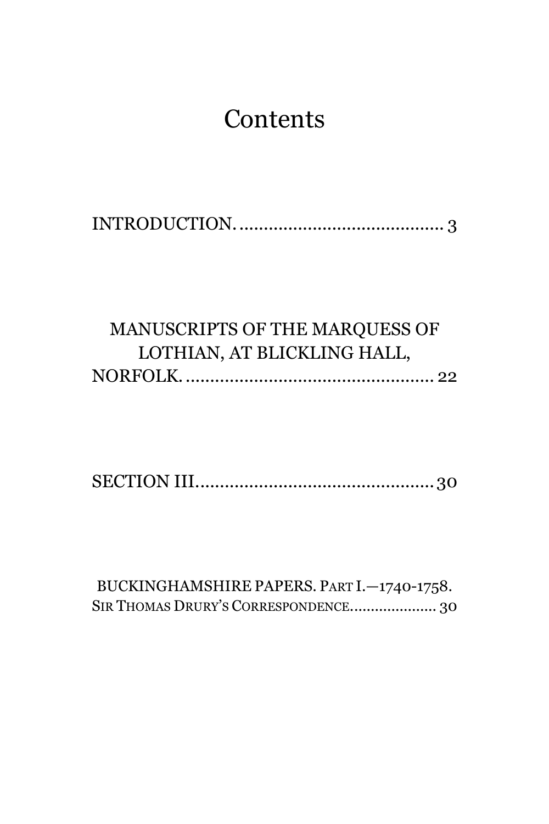# **Contents**

[INTRODUCTION...........................................](#page-2-0) 3

## [MANUSCRIPTS OF THE MARQUESS OF](#page-21-0)  [LOTHIAN, AT BLICKLING HALL,](#page-21-0)  [NORFOLK....................................................](#page-21-0) 22

[SECTION III.................................................30](#page-29-0)

[BUCKINGHAMSHIRE](#page-29-1) PAPERS. PART I.—1740-1758. SIR THOMAS DRURY'S CORRESPONDENCE[.....................](#page-29-1) 30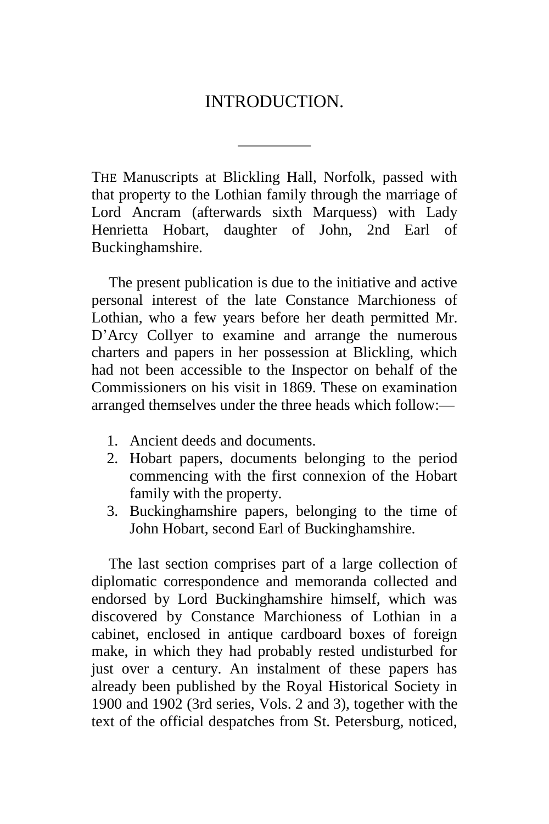### INTRODUCTION.

<span id="page-2-0"></span>THE Manuscripts at Blickling Hall, Norfolk, passed with that property to the Lothian family through the marriage of Lord Ancram (afterwards sixth Marquess) with Lady Henrietta Hobart, daughter of John, 2nd Earl of Buckinghamshire.

The present publication is due to the initiative and active personal interest of the late Constance Marchioness of Lothian, who a few years before her death permitted Mr. D'Arcy Collyer to examine and arrange the numerous charters and papers in her possession at Blickling, which had not been accessible to the Inspector on behalf of the Commissioners on his visit in 1869. These on examination arranged themselves under the three heads which follow:—

- 1. Ancient deeds and documents.
- 2. Hobart papers, documents belonging to the period commencing with the first connexion of the Hobart family with the property.
- 3. Buckinghamshire papers, belonging to the time of John Hobart, second Earl of Buckinghamshire.

The last section comprises part of a large collection of diplomatic correspondence and memoranda collected and endorsed by Lord Buckinghamshire himself, which was discovered by Constance Marchioness of Lothian in a cabinet, enclosed in antique cardboard boxes of foreign make, in which they had probably rested undisturbed for just over a century. An instalment of these papers has already been published by the Royal Historical Society in 1900 and 1902 (3rd series, Vols. 2 and 3), together with the text of the official despatches from St. Petersburg, noticed,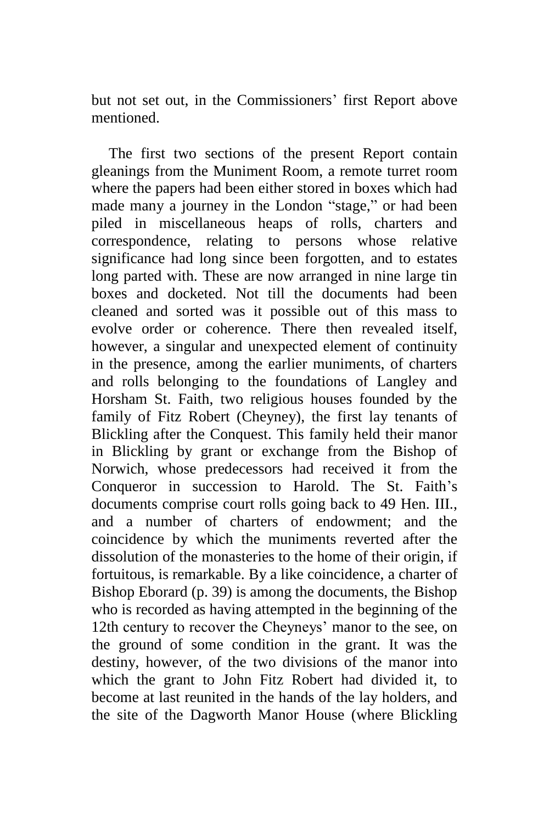but not set out, in the Commissioners' first Report above mentioned.

The first two sections of the present Report contain gleanings from the Muniment Room, a remote turret room where the papers had been either stored in boxes which had made many a journey in the London "stage," or had been piled in miscellaneous heaps of rolls, charters and correspondence, relating to persons whose relative significance had long since been forgotten, and to estates long parted with. These are now arranged in nine large tin boxes and docketed. Not till the documents had been cleaned and sorted was it possible out of this mass to evolve order or coherence. There then revealed itself, however, a singular and unexpected element of continuity in the presence, among the earlier muniments, of charters and rolls belonging to the foundations of Langley and Horsham St. Faith, two religious houses founded by the family of Fitz Robert (Cheyney), the first lay tenants of Blickling after the Conquest. This family held their manor in Blickling by grant or exchange from the Bishop of Norwich, whose predecessors had received it from the Conqueror in succession to Harold. The St. Faith's documents comprise court rolls going back to 49 Hen. III., and a number of charters of endowment; and the coincidence by which the muniments reverted after the dissolution of the monasteries to the home of their origin, if fortuitous, is remarkable. By a like coincidence, a charter of Bishop Eborard (p. 39) is among the documents, the Bishop who is recorded as having attempted in the beginning of the 12th century to recover the Cheyneys' manor to the see, on the ground of some condition in the grant. It was the destiny, however, of the two divisions of the manor into which the grant to John Fitz Robert had divided it, to become at last reunited in the hands of the lay holders, and the site of the Dagworth Manor House (where Blickling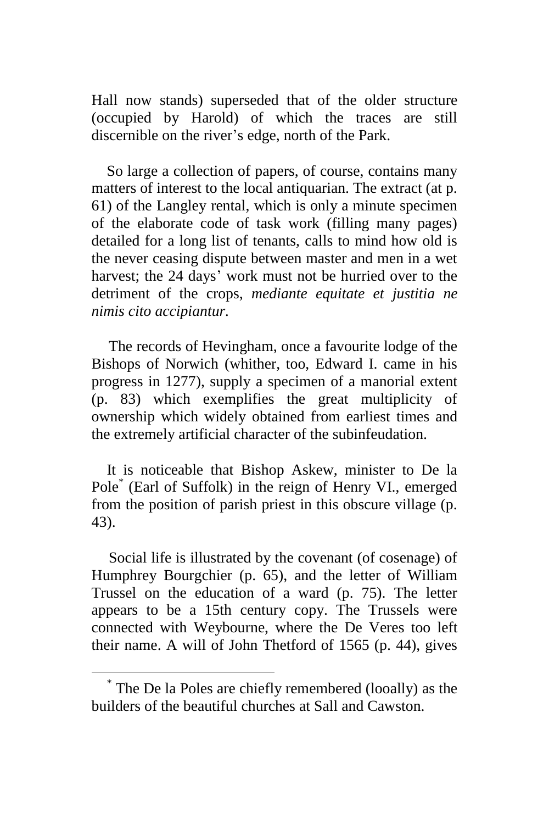Hall now stands) superseded that of the older structure (occupied by Harold) of which the traces are still discernible on the river's edge, north of the Park.

So large a collection of papers, of course, contains many matters of interest to the local antiquarian. The extract (at p. 61) of the Langley rental, which is only a minute specimen of the elaborate code of task work (filling many pages) detailed for a long list of tenants, calls to mind how old is the never ceasing dispute between master and men in a wet harvest; the 24 days' work must not be hurried over to the detriment of the crops, *mediante equitate et justitia ne nimis cito accipiantur.*

The records of Hevingham, once a favourite lodge of the Bishops of Norwich (whither, too, Edward I. came in his progress in 1277), supply a specimen of a manorial extent (p. 83) which exemplifies the great multiplicity of ownership which widely obtained from earliest times and the extremely artificial character of the subinfeudation.

It is noticeable that Bishop Askew, minister to De la Pole\* (Earl of Suffolk) in the reign of Henry VI., emerged from the position of parish priest in this obscure village (p. 43).

Social life is illustrated by the covenant (of cosenage) of Humphrey Bourgchier (p. 65), and the letter of William Trussel on the education of a ward (p. 75). The letter appears to be a 15th century copy. The Trussels were connected with Weybourne, where the De Veres too left their name. A will of John Thetford of 1565 (p. 44), gives

<sup>\*</sup> The De la Poles are chiefly remembered (looally) as the builders of the beautiful churches at Sall and Cawston.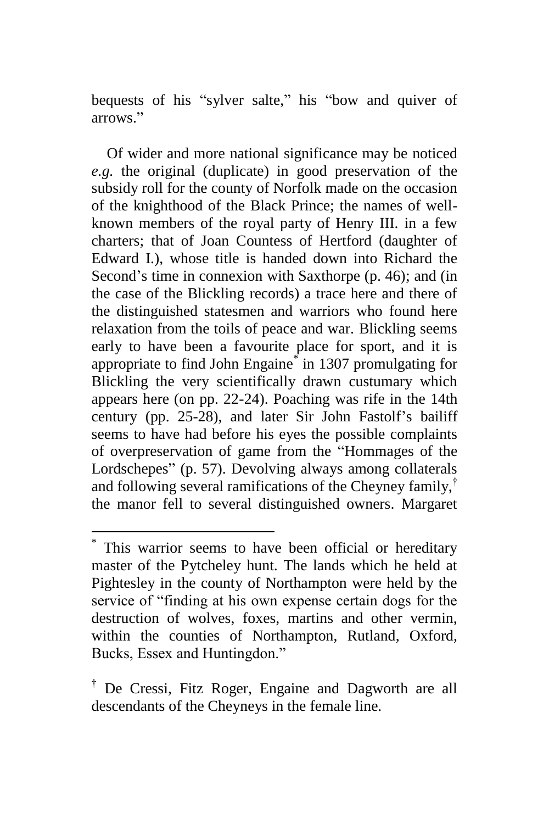bequests of his "sylver salte," his "bow and quiver of arrows."

Of wider and more national significance may be noticed *e.g.* the original (duplicate) in good preservation of the subsidy roll for the county of Norfolk made on the occasion of the knighthood of the Black Prince; the names of wellknown members of the royal party of Henry III. in a few charters; that of Joan Countess of Hertford (daughter of Edward I.), whose title is handed down into Richard the Second's time in connexion with Saxthorpe (p. 46); and (in the case of the Blickling records) a trace here and there of the distinguished statesmen and warriors who found here relaxation from the toils of peace and war. Blickling seems early to have been a favourite place for sport, and it is appropriate to find John Engaine\* in 1307 promulgating for Blickling the very scientifically drawn custumary which appears here (on pp. 22-24). Poaching was rife in the 14th century (pp. 25-28), and later Sir John Fastolf's bailiff seems to have had before his eyes the possible complaints of overpreservation of game from the "Hommages of the Lordschepes" (p. 57). Devolving always among collaterals and following several ramifications of the Cheyney family,† the manor fell to several distinguished owners. Margaret

<sup>\*</sup> This warrior seems to have been official or hereditary master of the Pytcheley hunt. The lands which he held at Pightesley in the county of Northampton were held by the service of "finding at his own expense certain dogs for the destruction of wolves, foxes, martins and other vermin, within the counties of Northampton, Rutland, Oxford, Bucks, Essex and Huntingdon."

<sup>†</sup> De Cressi, Fitz Roger, Engaine and Dagworth are all descendants of the Cheyneys in the female line.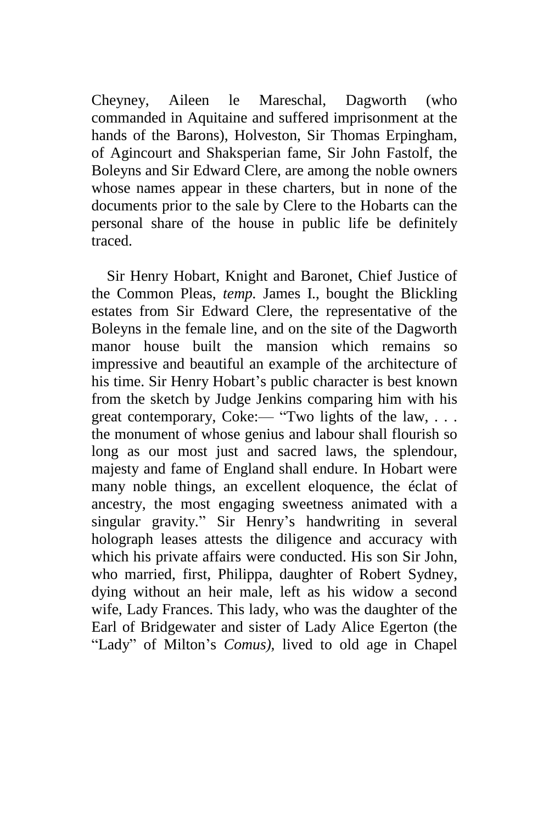Cheyney, Aileen le Mareschal, Dagworth (who commanded in Aquitaine and suffered imprisonment at the hands of the Barons), Holveston, Sir Thomas Erpingham, of Agincourt and Shaksperian fame, Sir John Fastolf, the Boleyns and Sir Edward Clere, are among the noble owners whose names appear in these charters, but in none of the documents prior to the sale by Clere to the Hobarts can the personal share of the house in public life be definitely traced.

Sir Henry Hobart, Knight and Baronet, Chief Justice of the Common Pleas, *temp.* James I., bought the Blickling estates from Sir Edward Clere, the representative of the Boleyns in the female line, and on the site of the Dagworth manor house built the mansion which remains so impressive and beautiful an example of the architecture of his time. Sir Henry Hobart's public character is best known from the sketch by Judge Jenkins comparing him with his great contemporary, Coke:— "Two lights of the law, ... the monument of whose genius and labour shall flourish so long as our most just and sacred laws, the splendour, majesty and fame of England shall endure. In Hobart were many noble things, an excellent eloquence, the éclat of ancestry, the most engaging sweetness animated with a singular gravity." Sir Henry's handwriting in several holograph leases attests the diligence and accuracy with which his private affairs were conducted. His son Sir John, who married, first, Philippa, daughter of Robert Sydney, dying without an heir male, left as his widow a second wife, Lady Frances. This lady, who was the daughter of the Earl of Bridgewater and sister of Lady Alice Egerton (the "Lady" of Milton's *Comus),* lived to old age in Chapel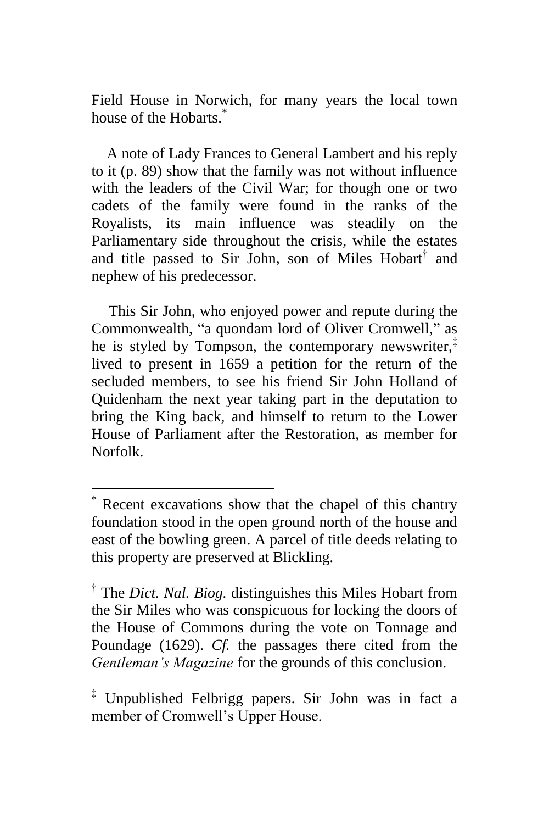Field House in Norwich, for many years the local town house of the Hobarts.<sup>\*</sup>

A note of Lady Frances to General Lambert and his reply to it (p. 89) show that the family was not without influence with the leaders of the Civil War; for though one or two cadets of the family were found in the ranks of the Royalists, its main influence was steadily on the Parliamentary side throughout the crisis, while the estates and title passed to Sir John, son of Miles Hobart<sup>†</sup> and nephew of his predecessor.

This Sir John, who enjoyed power and repute during the Commonwealth, "a quondam lord of Oliver Cromwell," as he is styled by Tompson, the contemporary newswriter, $\bar{f}$ lived to present in 1659 a petition for the return of the secluded members, to see his friend Sir John Holland of Quidenham the next year taking part in the deputation to bring the King back, and himself to return to the Lower House of Parliament after the Restoration, as member for Norfolk.

Recent excavations show that the chapel of this chantry foundation stood in the open ground north of the house and east of the bowling green. A parcel of title deeds relating to this property are preserved at Blickling.

<sup>&</sup>lt;sup>†</sup> The *Dict. Nal. Biog.* distinguishes this Miles Hobart from the Sir Miles who was conspicuous for locking the doors of the House of Commons during the vote on Tonnage and Poundage (1629). *Cf.* the passages there cited from the *Gentleman's Magazine* for the grounds of this conclusion.

<sup>‡</sup> Unpublished Felbrigg papers. Sir John was in fact a member of Cromwell's Upper House.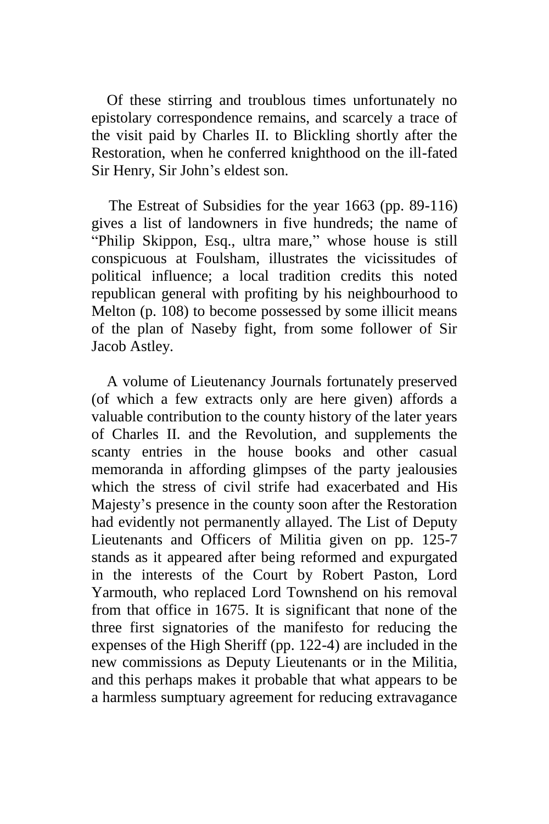Of these stirring and troublous times unfortunately no epistolary correspondence remains, and scarcely a trace of the visit paid by Charles II. to Blickling shortly after the Restoration, when he conferred knighthood on the ill-fated Sir Henry, Sir John's eldest son.

The Estreat of Subsidies for the year 1663 (pp. 89-116) gives a list of landowners in five hundreds; the name of "Philip Skippon, Esq., ultra mare," whose house is still conspicuous at Foulsham, illustrates the vicissitudes of political influence; a local tradition credits this noted republican general with profiting by his neighbourhood to Melton (p. 108) to become possessed by some illicit means of the plan of Naseby fight, from some follower of Sir Jacob Astley.

A volume of Lieutenancy Journals fortunately preserved (of which a few extracts only are here given) affords a valuable contribution to the county history of the later years of Charles II. and the Revolution, and supplements the scanty entries in the house books and other casual memoranda in affording glimpses of the party jealousies which the stress of civil strife had exacerbated and His Majesty's presence in the county soon after the Restoration had evidently not permanently allayed. The List of Deputy Lieutenants and Officers of Militia given on pp. 125-7 stands as it appeared after being reformed and expurgated in the interests of the Court by Robert Paston, Lord Yarmouth, who replaced Lord Townshend on his removal from that office in 1675. It is significant that none of the three first signatories of the manifesto for reducing the expenses of the High Sheriff (pp. 122-4) are included in the new commissions as Deputy Lieutenants or in the Militia, and this perhaps makes it probable that what appears to be a harmless sumptuary agreement for reducing extravagance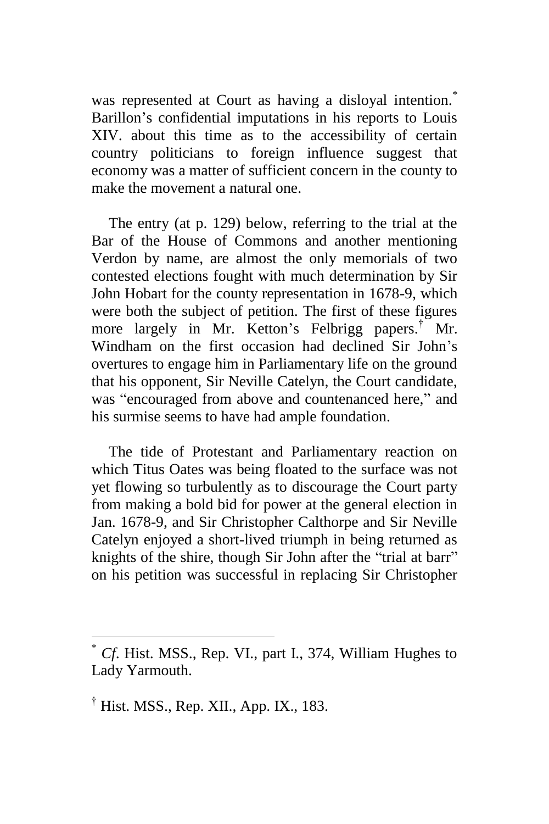was represented at Court as having a disloyal intention.<sup>\*</sup> Barillon's confidential imputations in his reports to Louis XIV. about this time as to the accessibility of certain country politicians to foreign influence suggest that economy was a matter of sufficient concern in the county to make the movement a natural one.

The entry (at p. 129) below, referring to the trial at the Bar of the House of Commons and another mentioning Verdon by name, are almost the only memorials of two contested elections fought with much determination by Sir John Hobart for the county representation in 1678-9, which were both the subject of petition. The first of these figures more largely in Mr. Ketton's Felbrigg papers.<sup>†</sup> Mr. Windham on the first occasion had declined Sir John's overtures to engage him in Parliamentary life on the ground that his opponent, Sir Neville Catelyn, the Court candidate, was "encouraged from above and countenanced here," and his surmise seems to have had ample foundation.

The tide of Protestant and Parliamentary reaction on which Titus Oates was being floated to the surface was not yet flowing so turbulently as to discourage the Court party from making a bold bid for power at the general election in Jan. 1678-9, and Sir Christopher Calthorpe and Sir Neville Catelyn enjoyed a short-lived triumph in being returned as knights of the shire, though Sir John after the "trial at barr" on his petition was successful in replacing Sir Christopher

<sup>\*</sup> *Cf*. Hist. MSS., Rep. VI., part I., 374, William Hughes to Lady Yarmouth.

<sup>&</sup>lt;sup>†</sup> Hist. MSS., Rep. XII., App. IX., 183.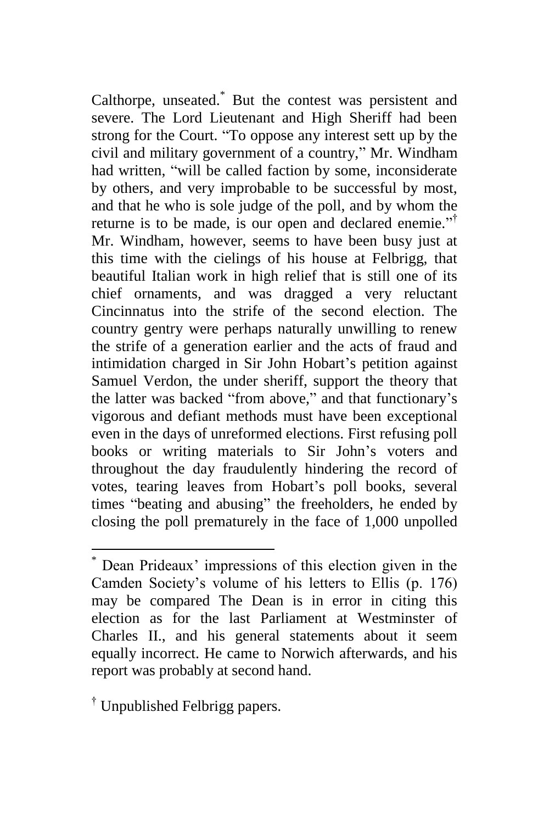Calthorpe, unseated.\* But the contest was persistent and severe. The Lord Lieutenant and High Sheriff had been strong for the Court. "To oppose any interest sett up by the civil and military government of a country," Mr. Windham had written, "will be called faction by some, inconsiderate by others, and very improbable to be successful by most, and that he who is sole judge of the poll, and by whom the returne is to be made, is our open and declared enemie."<sup>†</sup> Mr. Windham, however, seems to have been busy just at this time with the cielings of his house at Felbrigg, that beautiful Italian work in high relief that is still one of its chief ornaments, and was dragged a very reluctant Cincinnatus into the strife of the second election. The country gentry were perhaps naturally unwilling to renew the strife of a generation earlier and the acts of fraud and intimidation charged in Sir John Hobart's petition against Samuel Verdon, the under sheriff, support the theory that the latter was backed "from above," and that functionary's vigorous and defiant methods must have been exceptional even in the days of unreformed elections. First refusing poll books or writing materials to Sir John's voters and throughout the day fraudulently hindering the record of votes, tearing leaves from Hobart's poll books, several times "beating and abusing" the freeholders, he ended by closing the poll prematurely in the face of 1,000 unpolled

<sup>†</sup> Unpublished Felbrigg papers.

Dean Prideaux' impressions of this election given in the Camden Society's volume of his letters to Ellis (p. 176) may be compared The Dean is in error in citing this election as for the last Parliament at Westminster of Charles II., and his general statements about it seem equally incorrect. He came to Norwich afterwards, and his report was probably at second hand.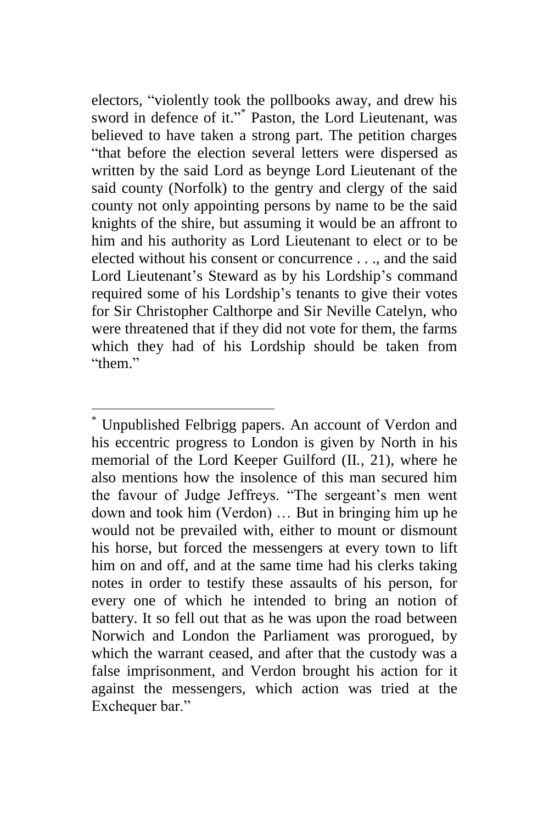electors, "violently took the pollbooks away, and drew his sword in defence of it."<sup>\*</sup> Paston, the Lord Lieutenant, was believed to have taken a strong part. The petition charges "that before the election several letters were dispersed as written by the said Lord as beynge Lord Lieutenant of the said county (Norfolk) to the gentry and clergy of the said county not only appointing persons by name to be the said knights of the shire, but assuming it would be an affront to him and his authority as Lord Lieutenant to elect or to be elected without his consent or concurrence . . ., and the said Lord Lieutenant's Steward as by his Lordship's command required some of his Lordship's tenants to give their votes for Sir Christopher Calthorpe and Sir Neville Catelyn, who were threatened that if they did not vote for them, the farms which they had of his Lordship should be taken from "them."

Unpublished Felbrigg papers. An account of Verdon and his eccentric progress to London is given by North in his memorial of the Lord Keeper Guilford (II*.,* 21), where he also mentions how the insolence of this man secured him the favour of Judge Jeffreys. "The sergeant's men went down and took him (Verdon) … But in bringing him up he would not be prevailed with, either to mount or dismount his horse, but forced the messengers at every town to lift him on and off, and at the same time had his clerks taking notes in order to testify these assaults of his person, for every one of which he intended to bring an notion of battery. It so fell out that as he was upon the road between Norwich and London the Parliament was prorogued, by which the warrant ceased, and after that the custody was a false imprisonment, and Verdon brought his action for it against the messengers, which action was tried at the Exchequer bar."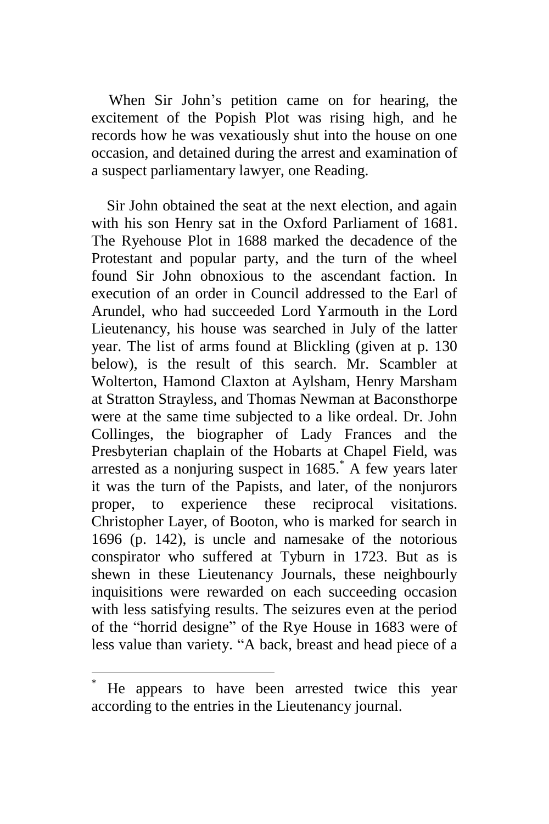When Sir John's petition came on for hearing, the excitement of the Popish Plot was rising high, and he records how he was vexatiously shut into the house on one occasion, and detained during the arrest and examination of a suspect parliamentary lawyer, one Reading.

Sir John obtained the seat at the next election, and again with his son Henry sat in the Oxford Parliament of 1681. The Ryehouse Plot in 1688 marked the decadence of the Protestant and popular party, and the turn of the wheel found Sir John obnoxious to the ascendant faction. In execution of an order in Council addressed to the Earl of Arundel, who had succeeded Lord Yarmouth in the Lord Lieutenancy, his house was searched in July of the latter year. The list of arms found at Blickling (given at p. 130 below), is the result of this search. Mr. Scambler at Wolterton, Hamond Claxton at Aylsham, Henry Marsham at Stratton Strayless, and Thomas Newman at Baconsthorpe were at the same time subjected to a like ordeal. Dr. John Collinges, the biographer of Lady Frances and the Presbyterian chaplain of the Hobarts at Chapel Field, was arrested as a nonjuring suspect in  $1685$ .<sup>\*</sup> A few years later it was the turn of the Papists, and later, of the nonjurors proper, to experience these reciprocal visitations. Christopher Layer, of Booton, who is marked for search in 1696 (p. 142), is uncle and namesake of the notorious conspirator who suffered at Tyburn in 1723. But as is shewn in these Lieutenancy Journals, these neighbourly inquisitions were rewarded on each succeeding occasion with less satisfying results. The seizures even at the period of the "horrid designe" of the Rye House in 1683 were of less value than variety. "A back, breast and head piece of a

He appears to have been arrested twice this year according to the entries in the Lieutenancy journal.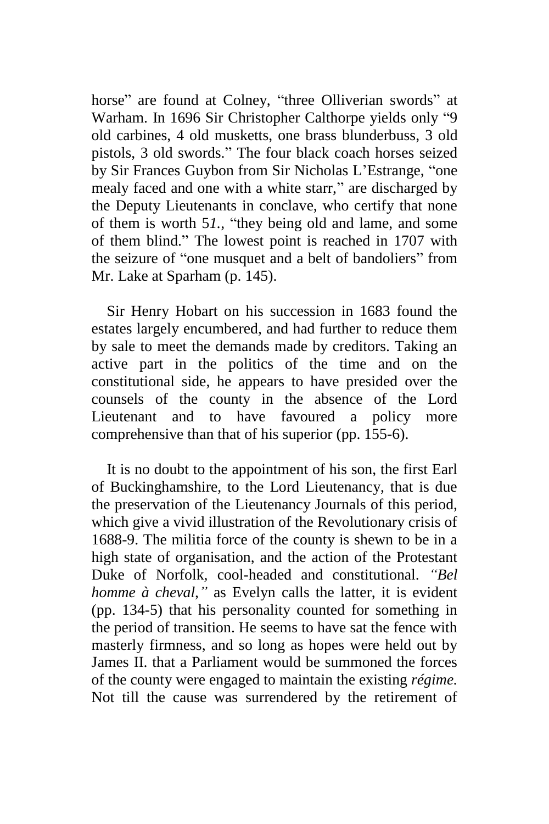horse" are found at Colney, "three Olliverian swords" at Warham. In 1696 Sir Christopher Calthorpe yields only "9 old carbines, 4 old musketts, one brass blunderbuss, 3 old pistols, 3 old swords." The four black coach horses seized by Sir Frances Guybon from Sir Nicholas L'Estrange, "one mealy faced and one with a white starr," are discharged by the Deputy Lieutenants in conclave, who certify that none of them is worth 5*1.,* "they being old and lame, and some of them blind." The lowest point is reached in 1707 with the seizure of "one musquet and a belt of bandoliers" from Mr. Lake at Sparham (p. 145).

Sir Henry Hobart on his succession in 1683 found the estates largely encumbered, and had further to reduce them by sale to meet the demands made by creditors. Taking an active part in the politics of the time and on the constitutional side, he appears to have presided over the counsels of the county in the absence of the Lord Lieutenant and to have favoured a policy more comprehensive than that of his superior (pp. 155-6).

It is no doubt to the appointment of his son, the first Earl of Buckinghamshire, to the Lord Lieutenancy, that is due the preservation of the Lieutenancy Journals of this period, which give a vivid illustration of the Revolutionary crisis of 1688-9. The militia force of the county is shewn to be in a high state of organisation, and the action of the Protestant Duke of Norfolk, cool-headed and constitutional. *"Bel homme à cheval,"* as Evelyn calls the latter, it is evident (pp. 134-5) that his personality counted for something in the period of transition. He seems to have sat the fence with masterly firmness, and so long as hopes were held out by James II. that a Parliament would be summoned the forces of the county were engaged to maintain the existing *régime.*  Not till the cause was surrendered by the retirement of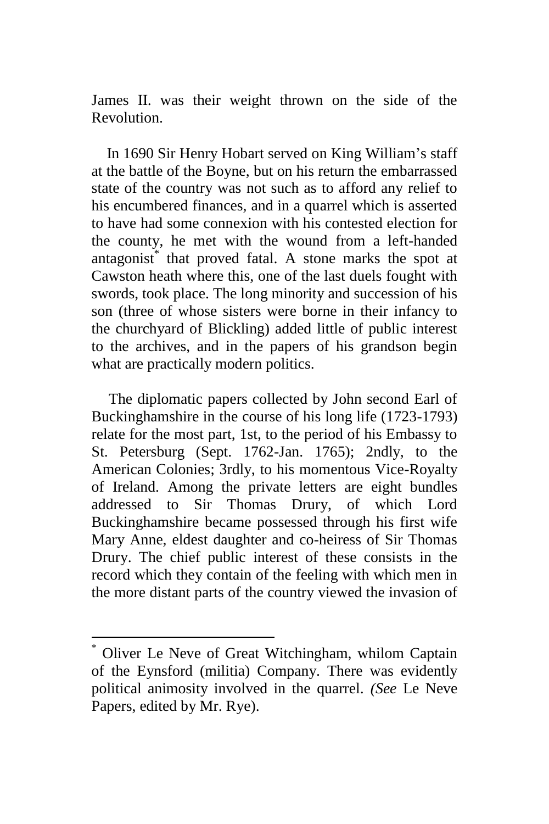James II. was their weight thrown on the side of the Revolution.

In 1690 Sir Henry Hobart served on King William's staff at the battle of the Boyne, but on his return the embarrassed state of the country was not such as to afford any relief to his encumbered finances, and in a quarrel which is asserted to have had some connexion with his contested election for the county, he met with the wound from a left-handed antagonist\* that proved fatal. A stone marks the spot at Cawston heath where this, one of the last duels fought with swords, took place. The long minority and succession of his son (three of whose sisters were borne in their infancy to the churchyard of Blickling) added little of public interest to the archives, and in the papers of his grandson begin what are practically modern politics.

The diplomatic papers collected by John second Earl of Buckinghamshire in the course of his long life (1723-1793) relate for the most part, 1st, to the period of his Embassy to St. Petersburg (Sept. 1762-Jan. 1765); 2ndly, to the American Colonies; 3rdly, to his momentous Vice-Royalty of Ireland. Among the private letters are eight bundles addressed to Sir Thomas Drury, of which Lord Buckinghamshire became possessed through his first wife Mary Anne, eldest daughter and co-heiress of Sir Thomas Drury. The chief public interest of these consists in the record which they contain of the feeling with which men in the more distant parts of the country viewed the invasion of

Oliver Le Neve of Great Witchingham, whilom Captain of the Eynsford (militia) Company. There was evidently political animosity involved in the quarrel. *(See* Le Neve Papers, edited by Mr. Rye).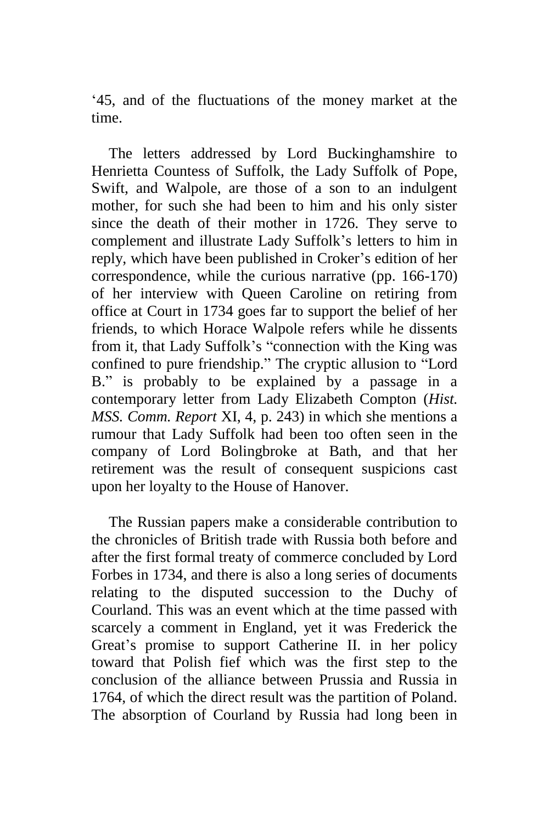'45, and of the fluctuations of the money market at the time.

The letters addressed by Lord Buckinghamshire to Henrietta Countess of Suffolk, the Lady Suffolk of Pope, Swift, and Walpole, are those of a son to an indulgent mother, for such she had been to him and his only sister since the death of their mother in 1726. They serve to complement and illustrate Lady Suffolk's letters to him in reply, which have been published in Croker's edition of her correspondence, while the curious narrative (pp. 166-170) of her interview with Queen Caroline on retiring from office at Court in 1734 goes far to support the belief of her friends, to which Horace Walpole refers while he dissents from it, that Lady Suffolk's "connection with the King was confined to pure friendship." The cryptic allusion to "Lord B." is probably to be explained by a passage in a contemporary letter from Lady Elizabeth Compton (*Hist. MSS. Comm. Report* XI, 4, p. 243) in which she mentions a rumour that Lady Suffolk had been too often seen in the company of Lord Bolingbroke at Bath, and that her retirement was the result of consequent suspicions cast upon her loyalty to the House of Hanover.

The Russian papers make a considerable contribution to the chronicles of British trade with Russia both before and after the first formal treaty of commerce concluded by Lord Forbes in 1734, and there is also a long series of documents relating to the disputed succession to the Duchy of Courland. This was an event which at the time passed with scarcely a comment in England, yet it was Frederick the Great's promise to support Catherine II. in her policy toward that Polish fief which was the first step to the conclusion of the alliance between Prussia and Russia in 1764, of which the direct result was the partition of Poland. The absorption of Courland by Russia had long been in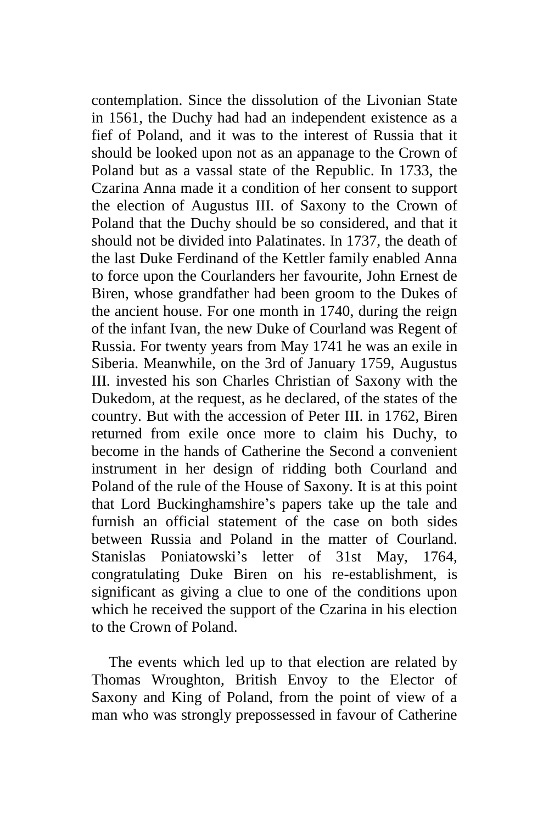contemplation. Since the dissolution of the Livonian State in 1561, the Duchy had had an independent existence as a fief of Poland, and it was to the interest of Russia that it should be looked upon not as an appanage to the Crown of Poland but as a vassal state of the Republic. In 1733, the Czarina Anna made it a condition of her consent to support the election of Augustus III. of Saxony to the Crown of Poland that the Duchy should be so considered, and that it should not be divided into Palatinates. In 1737, the death of the last Duke Ferdinand of the Kettler family enabled Anna to force upon the Courlanders her favourite, John Ernest de Biren, whose grandfather had been groom to the Dukes of the ancient house. For one month in 1740, during the reign of the infant Ivan, the new Duke of Courland was Regent of Russia. For twenty years from May 1741 he was an exile in Siberia. Meanwhile, on the 3rd of January 1759, Augustus III. invested his son Charles Christian of Saxony with the Dukedom, at the request, as he declared, of the states of the country. But with the accession of Peter III. in 1762, Biren returned from exile once more to claim his Duchy, to become in the hands of Catherine the Second a convenient instrument in her design of ridding both Courland and Poland of the rule of the House of Saxony. It is at this point that Lord Buckinghamshire's papers take up the tale and furnish an official statement of the case on both sides between Russia and Poland in the matter of Courland. Stanislas Poniatowski's letter of 31st May, 1764, congratulating Duke Biren on his re-establishment, is significant as giving a clue to one of the conditions upon which he received the support of the Czarina in his election to the Crown of Poland.

The events which led up to that election are related by Thomas Wroughton, British Envoy to the Elector of Saxony and King of Poland, from the point of view of a man who was strongly prepossessed in favour of Catherine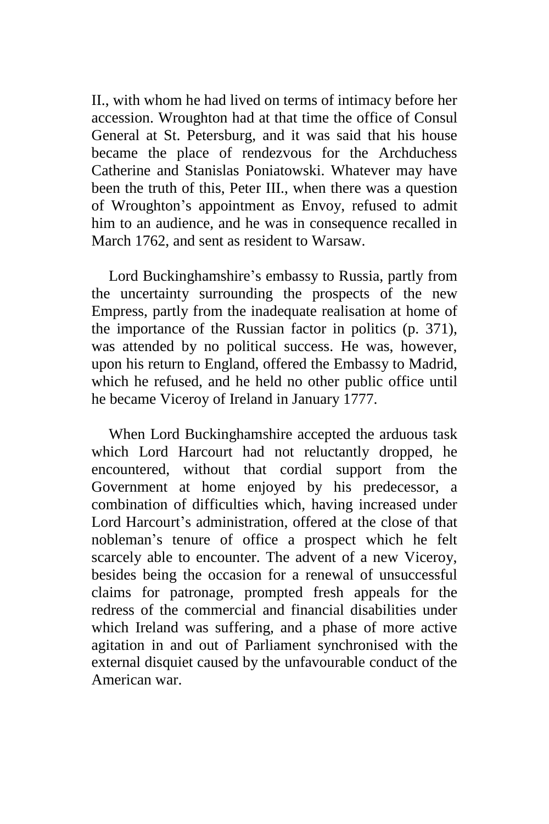II., with whom he had lived on terms of intimacy before her accession. Wroughton had at that time the office of Consul General at St. Petersburg, and it was said that his house became the place of rendezvous for the Archduchess Catherine and Stanislas Poniatowski. Whatever may have been the truth of this, Peter III., when there was a question of Wroughton's appointment as Envoy, refused to admit him to an audience, and he was in consequence recalled in March 1762, and sent as resident to Warsaw.

Lord Buckinghamshire's embassy to Russia, partly from the uncertainty surrounding the prospects of the new Empress, partly from the inadequate realisation at home of the importance of the Russian factor in politics (p. 371), was attended by no political success. He was, however, upon his return to England, offered the Embassy to Madrid, which he refused, and he held no other public office until he became Viceroy of Ireland in January 1777.

When Lord Buckinghamshire accepted the arduous task which Lord Harcourt had not reluctantly dropped, he encountered, without that cordial support from the Government at home enjoyed by his predecessor, a combination of difficulties which, having increased under Lord Harcourt's administration, offered at the close of that nobleman's tenure of office a prospect which he felt scarcely able to encounter. The advent of a new Viceroy, besides being the occasion for a renewal of unsuccessful claims for patronage, prompted fresh appeals for the redress of the commercial and financial disabilities under which Ireland was suffering, and a phase of more active agitation in and out of Parliament synchronised with the external disquiet caused by the unfavourable conduct of the American war.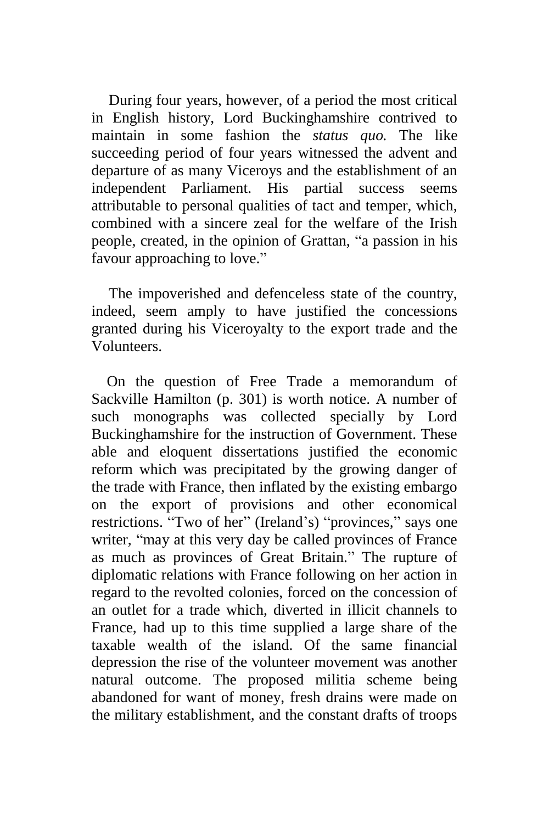During four years, however, of a period the most critical in English history, Lord Buckinghamshire contrived to maintain in some fashion the *status quo.* The like succeeding period of four years witnessed the advent and departure of as many Viceroys and the establishment of an independent Parliament. His partial success seems attributable to personal qualities of tact and temper, which, combined with a sincere zeal for the welfare of the Irish people, created, in the opinion of Grattan, "a passion in his favour approaching to love."

The impoverished and defenceless state of the country, indeed, seem amply to have justified the concessions granted during his Viceroyalty to the export trade and the Volunteers.

On the question of Free Trade a memorandum of Sackville Hamilton (p. 301) is worth notice. A number of such monographs was collected specially by Lord Buckinghamshire for the instruction of Government. These able and eloquent dissertations justified the economic reform which was precipitated by the growing danger of the trade with France, then inflated by the existing embargo on the export of provisions and other economical restrictions. "Two of her" (Ireland's) "provinces," says one writer, "may at this very day be called provinces of France as much as provinces of Great Britain." The rupture of diplomatic relations with France following on her action in regard to the revolted colonies, forced on the concession of an outlet for a trade which, diverted in illicit channels to France, had up to this time supplied a large share of the taxable wealth of the island. Of the same financial depression the rise of the volunteer movement was another natural outcome. The proposed militia scheme being abandoned for want of money, fresh drains were made on the military establishment, and the constant drafts of troops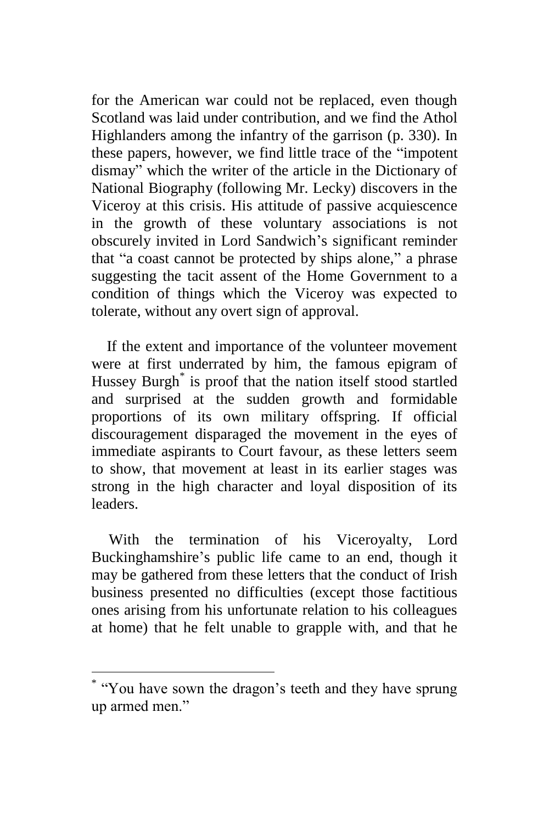for the American war could not be replaced, even though Scotland was laid under contribution, and we find the Athol Highlanders among the infantry of the garrison (p. 330). In these papers, however, we find little trace of the "impotent dismay" which the writer of the article in the Dictionary of National Biography (following Mr. Lecky) discovers in the Viceroy at this crisis. His attitude of passive acquiescence in the growth of these voluntary associations is not obscurely invited in Lord Sandwich's significant reminder that "a coast cannot be protected by ships alone," a phrase suggesting the tacit assent of the Home Government to a condition of things which the Viceroy was expected to tolerate, without any overt sign of approval.

If the extent and importance of the volunteer movement were at first underrated by him, the famous epigram of Hussey Burgh<sup>\*</sup> is proof that the nation itself stood startled and surprised at the sudden growth and formidable proportions of its own military offspring. If official discouragement disparaged the movement in the eyes of immediate aspirants to Court favour, as these letters seem to show, that movement at least in its earlier stages was strong in the high character and loyal disposition of its leaders.

With the termination of his Viceroyalty, Lord Buckinghamshire's public life came to an end, though it may be gathered from these letters that the conduct of Irish business presented no difficulties (except those factitious ones arising from his unfortunate relation to his colleagues at home) that he felt unable to grapple with, and that he

<sup>\*</sup> "You have sown the dragon's teeth and they have sprung up armed men."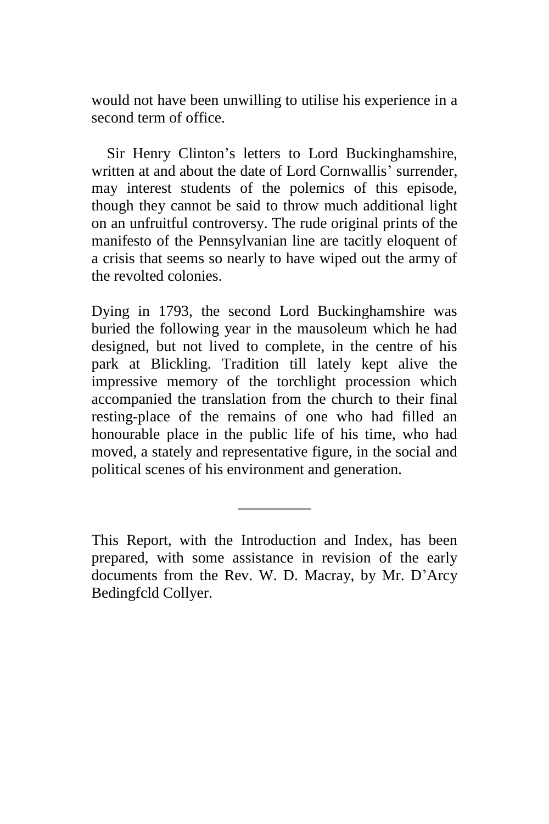would not have been unwilling to utilise his experience in a second term of office.

Sir Henry Clinton's letters to Lord Buckinghamshire, written at and about the date of Lord Cornwallis' surrender, may interest students of the polemics of this episode, though they cannot be said to throw much additional light on an unfruitful controversy. The rude original prints of the manifesto of the Pennsylvanian line are tacitly eloquent of a crisis that seems so nearly to have wiped out the army of the revolted colonies.

Dying in 1793, the second Lord Buckinghamshire was buried the following year in the mausoleum which he had designed, but not lived to complete, in the centre of his park at Blickling. Tradition till lately kept alive the impressive memory of the torchlight procession which accompanied the translation from the church to their final resting-place of the remains of one who had filled an honourable place in the public life of his time, who had moved, a stately and representative figure, in the social and political scenes of his environment and generation.

This Report, with the Introduction and Index, has been prepared, with some assistance in revision of the early documents from the Rev. W. D. Macray, by Mr. D'Arcy Bedingfcld Collyer.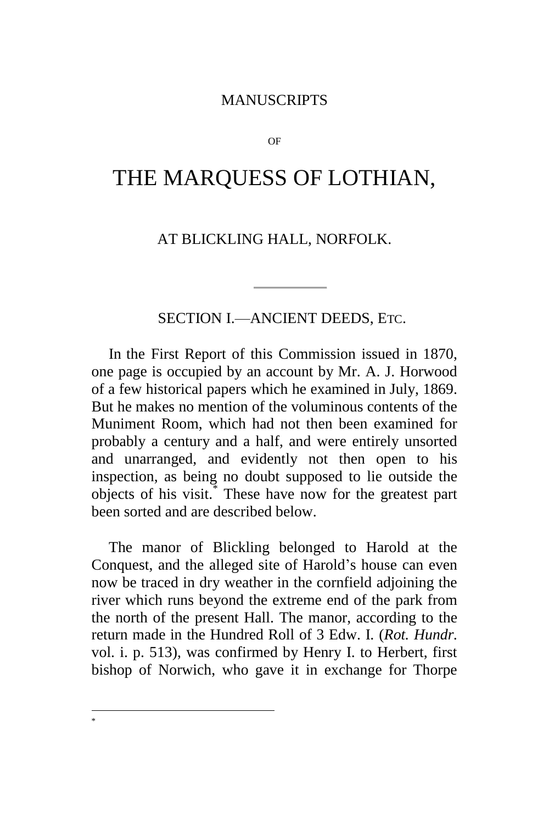#### MANUSCRIPTS

OF

## <span id="page-21-0"></span>THE MARQUESS OF LOTHIAN,

#### AT BLICKLING HALL, NORFOLK.

SECTION I.—ANCIENT DEEDS, ETC.

In the First Report of this Commission issued in 1870, one page is occupied by an account by Mr. A. J. Horwood of a few historical papers which he examined in July, 1869. But he makes no mention of the voluminous contents of the Muniment Room, which had not then been examined for probably a century and a half, and were entirely unsorted and unarranged, and evidently not then open to his inspection, as being no doubt supposed to lie outside the objects of his visit.\* These have now for the greatest part been sorted and are described below.

The manor of Blickling belonged to Harold at the Conquest, and the alleged site of Harold's house can even now be traced in dry weather in the cornfield adjoining the river which runs beyond the extreme end of the park from the north of the present Hall. The manor, according to the return made in the Hundred Roll of 3 Edw. I. (*Rot. Hundr.*  vol. i. p. 513), was confirmed by Henry I. to Herbert, first bishop of Norwich, who gave it in exchange for Thorpe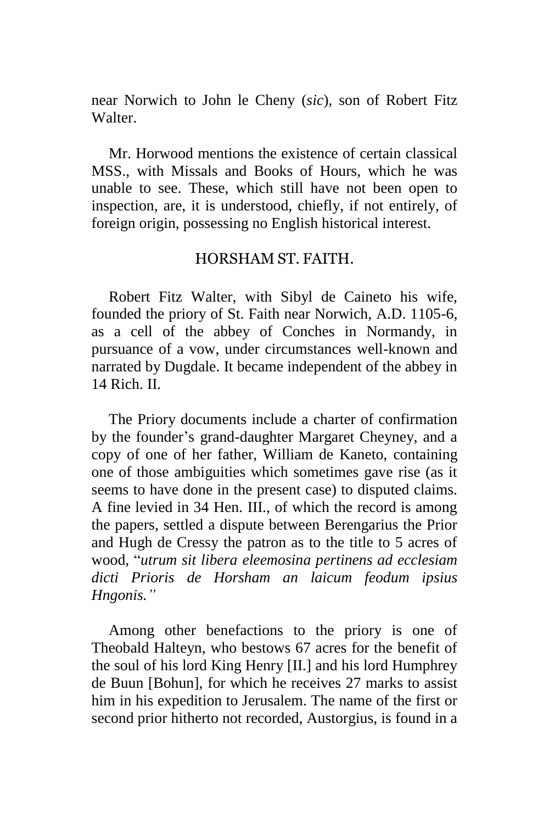near Norwich to John le Cheny (*sic*)*,* son of Robert Fitz Walter.

Mr. Horwood mentions the existence of certain classical MSS., with Missals and Books of Hours, which he was unable to see. These, which still have not been open to inspection, are, it is understood, chiefly, if not entirely, of foreign origin, possessing no English historical interest.

#### HORSHAM ST. FAITH.

Robert Fitz Walter, with Sibyl de Caineto his wife, founded the priory of St. Faith near Norwich, A.D. 1105-6, as a cell of the abbey of Conches in Normandy, in pursuance of a vow, under circumstances well-known and narrated by Dugdale. It became independent of the abbey in 14 Rich. II.

The Priory documents include a charter of confirmation by the founder's grand-daughter Margaret Cheyney, and a copy of one of her father, William de Kaneto, containing one of those ambiguities which sometimes gave rise (as it seems to have done in the present case) to disputed claims. A fine levied in 34 Hen. III., of which the record is among the papers, settled a dispute between Berengarius the Prior and Hugh de Cressy the patron as to the title to 5 acres of wood, "*utrum sit libera eleemosina pertinens ad ecclesiam dicti Prioris de Horsham an laicum feodum ipsius Hngonis."*

Among other benefactions to the priory is one of Theobald Halteyn, who bestows 67 acres for the benefit of the soul of his lord King Henry [II.] and his lord Humphrey de Buun [Bohun], for which he receives 27 marks to assist him in his expedition to Jerusalem. The name of the first or second prior hitherto not recorded, Austorgius, is found in a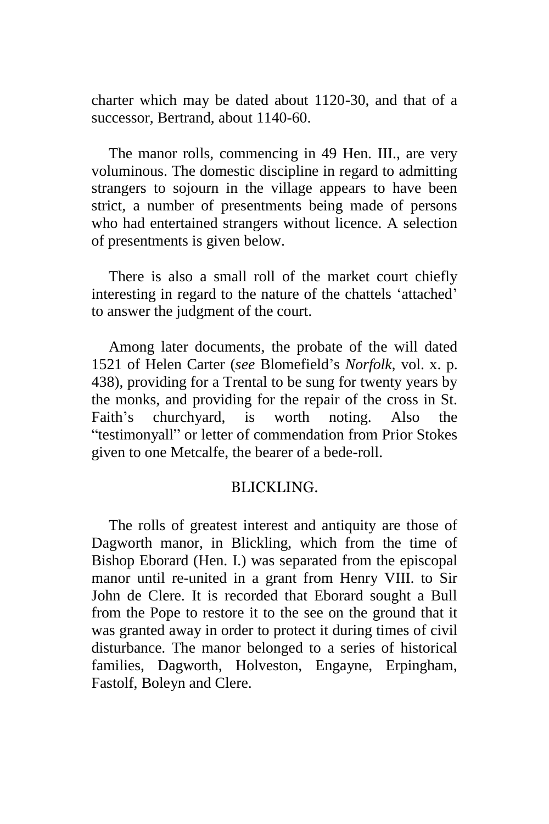charter which may be dated about 1120-30, and that of a successor, Bertrand, about 1140-60.

The manor rolls, commencing in 49 Hen. III., are very voluminous. The domestic discipline in regard to admitting strangers to sojourn in the village appears to have been strict, a number of presentments being made of persons who had entertained strangers without licence. A selection of presentments is given below.

There is also a small roll of the market court chiefly interesting in regard to the nature of the chattels 'attached' to answer the judgment of the court.

Among later documents, the probate of the will dated 1521 of Helen Carter (*see* Blomefield's *Norfolk,* vol. x. p. 438), providing for a Trental to be sung for twenty years by the monks, and providing for the repair of the cross in St. Faith's churchyard, is worth noting. Also the "testimonyall" or letter of commendation from Prior Stokes given to one Metcalfe, the bearer of a bede-roll.

#### BLICKLING.

The rolls of greatest interest and antiquity are those of Dagworth manor, in Blickling, which from the time of Bishop Eborard (Hen. I.) was separated from the episcopal manor until re-united in a grant from Henry VIII. to Sir John de Clere. It is recorded that Eborard sought a Bull from the Pope to restore it to the see on the ground that it was granted away in order to protect it during times of civil disturbance. The manor belonged to a series of historical families, Dagworth, Holveston, Engayne, Erpingham, Fastolf, Boleyn and Clere.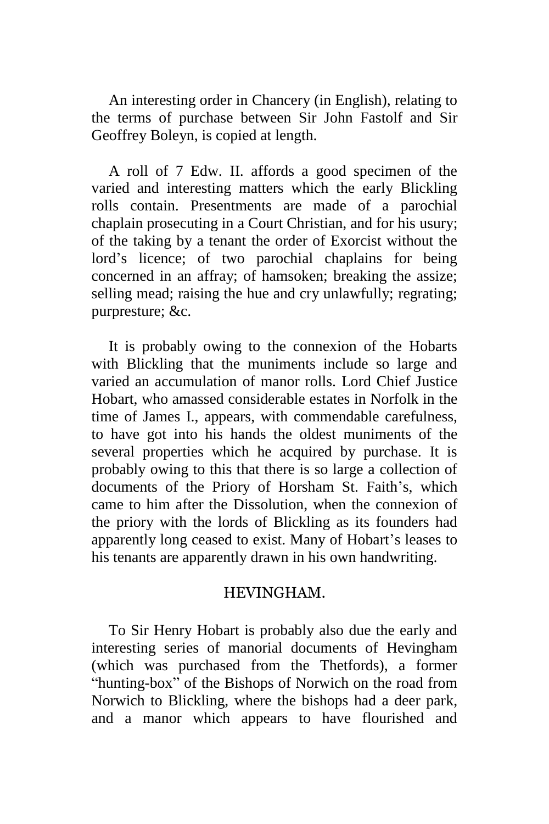An interesting order in Chancery (in English), relating to the terms of purchase between Sir John Fastolf and Sir Geoffrey Boleyn, is copied at length.

A roll of 7 Edw. II. affords a good specimen of the varied and interesting matters which the early Blickling rolls contain. Presentments are made of a parochial chaplain prosecuting in a Court Christian, and for his usury; of the taking by a tenant the order of Exorcist without the lord's licence; of two parochial chaplains for being concerned in an affray; of hamsoken; breaking the assize; selling mead; raising the hue and cry unlawfully; regrating; purpresture; &c.

It is probably owing to the connexion of the Hobarts with Blickling that the muniments include so large and varied an accumulation of manor rolls. Lord Chief Justice Hobart, who amassed considerable estates in Norfolk in the time of James I., appears, with commendable carefulness, to have got into his hands the oldest muniments of the several properties which he acquired by purchase. It is probably owing to this that there is so large a collection of documents of the Priory of Horsham St. Faith's, which came to him after the Dissolution, when the connexion of the priory with the lords of Blickling as its founders had apparently long ceased to exist. Many of Hobart's leases to his tenants are apparently drawn in his own handwriting.

#### HEVINGHAM.

To Sir Henry Hobart is probably also due the early and interesting series of manorial documents of Hevingham (which was purchased from the Thetfords), a former "hunting-box" of the Bishops of Norwich on the road from Norwich to Blickling, where the bishops had a deer park, and a manor which appears to have flourished and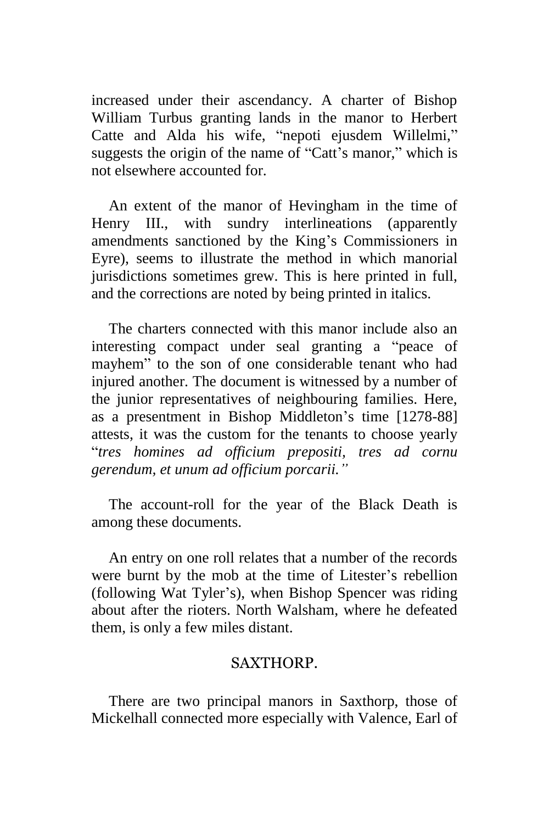increased under their ascendancy. A charter of Bishop William Turbus granting lands in the manor to Herbert Catte and Alda his wife, "nepoti ejusdem Willelmi," suggests the origin of the name of "Catt's manor," which is not elsewhere accounted for.

An extent of the manor of Hevingham in the time of Henry III., with sundry interlineations (apparently amendments sanctioned by the King's Commissioners in Eyre), seems to illustrate the method in which manorial jurisdictions sometimes grew. This is here printed in full, and the corrections are noted by being printed in italics.

The charters connected with this manor include also an interesting compact under seal granting a "peace of mayhem" to the son of one considerable tenant who had injured another. The document is witnessed by a number of the junior representatives of neighbouring families. Here, as a presentment in Bishop Middleton's time [1278-88] attests, it was the custom for the tenants to choose yearly "*tres homines ad officium prepositi, tres ad cornu gerendum, et unum ad officium porcarii."*

The account-roll for the year of the Black Death is among these documents.

An entry on one roll relates that a number of the records were burnt by the mob at the time of Litester's rebellion (following Wat Tyler's), when Bishop Spencer was riding about after the rioters. North Walsham, where he defeated them, is only a few miles distant.

#### SAXTHORP.

There are two principal manors in Saxthorp, those of Mickelhall connected more especially with Valence, Earl of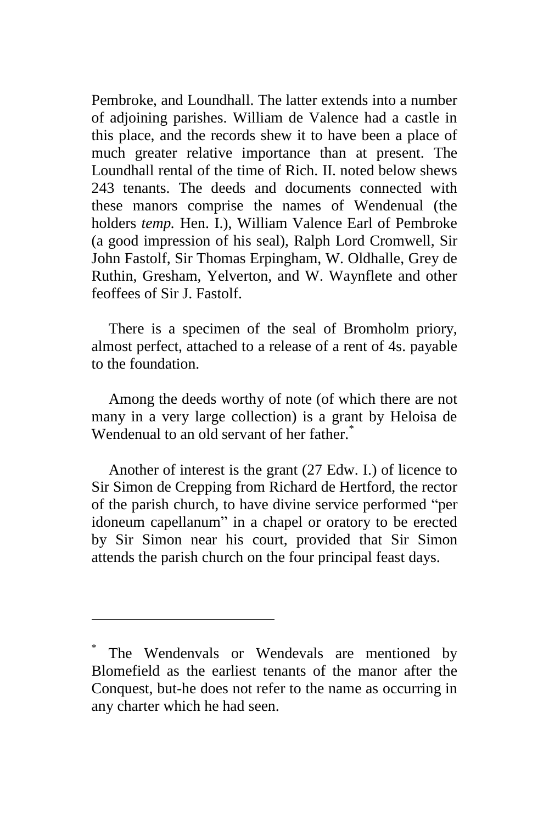Pembroke, and Loundhall. The latter extends into a number of adjoining parishes. William de Valence had a castle in this place, and the records shew it to have been a place of much greater relative importance than at present. The Loundhall rental of the time of Rich. II. noted below shews 243 tenants. The deeds and documents connected with these manors comprise the names of Wendenual (the holders *temp.* Hen. I.), William Valence Earl of Pembroke (a good impression of his seal), Ralph Lord Cromwell, Sir John Fastolf, Sir Thomas Erpingham, W. Oldhalle, Grey de Ruthin, Gresham, Yelverton, and W. Waynflete and other feoffees of Sir J. Fastolf.

There is a specimen of the seal of Bromholm priory, almost perfect, attached to a release of a rent of 4s. payable to the foundation.

Among the deeds worthy of note (of which there are not many in a very large collection) is a grant by Heloisa de Wendenual to an old servant of her father.<sup>\*</sup>

Another of interest is the grant (27 Edw. I.) of licence to Sir Simon de Crepping from Richard de Hertford, the rector of the parish church, to have divine service performed "per idoneum capellanum" in a chapel or oratory to be erected by Sir Simon near his court, provided that Sir Simon attends the parish church on the four principal feast days.

<sup>\*</sup> The Wendenvals or Wendevals are mentioned by Blomefield as the earliest tenants of the manor after the Conquest, but-he does not refer to the name as occurring in any charter which he had seen.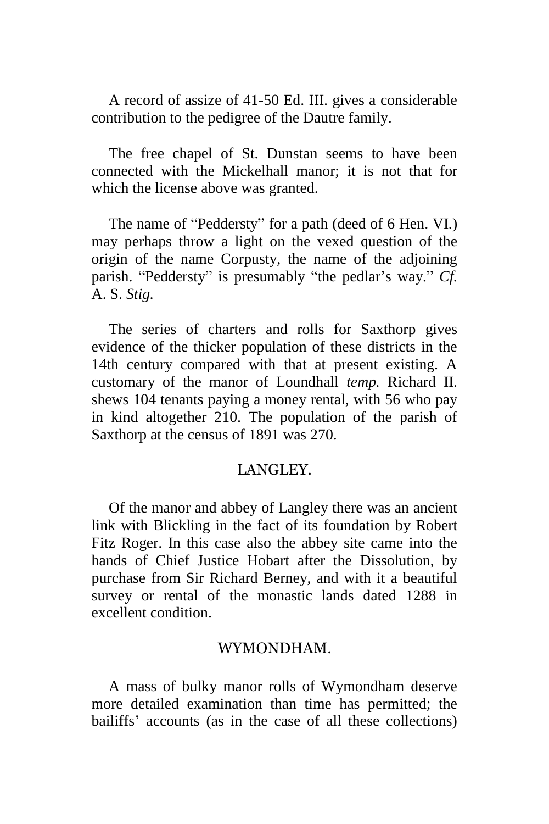A record of assize of 41-50 Ed. III. gives a considerable contribution to the pedigree of the Dautre family.

The free chapel of St. Dunstan seems to have been connected with the Mickelhall manor; it is not that for which the license above was granted.

The name of "Peddersty" for a path (deed of 6 Hen. VI.) may perhaps throw a light on the vexed question of the origin of the name Corpusty, the name of the adjoining parish. "Peddersty" is presumably "the pedlar's way." *Cf.*  A. S. *Stig.*

The series of charters and rolls for Saxthorp gives evidence of the thicker population of these districts in the 14th century compared with that at present existing. A customary of the manor of Loundhall *temp.* Richard II. shews 104 tenants paying a money rental, with 56 who pay in kind altogether 210. The population of the parish of Saxthorp at the census of 1891 was 270.

#### LANGLEY.

Of the manor and abbey of Langley there was an ancient link with Blickling in the fact of its foundation by Robert Fitz Roger. In this case also the abbey site came into the hands of Chief Justice Hobart after the Dissolution, by purchase from Sir Richard Berney, and with it a beautiful survey or rental of the monastic lands dated 1288 in excellent condition.

#### WYMONDHAM.

A mass of bulky manor rolls of Wymondham deserve more detailed examination than time has permitted; the bailiffs' accounts (as in the case of all these collections)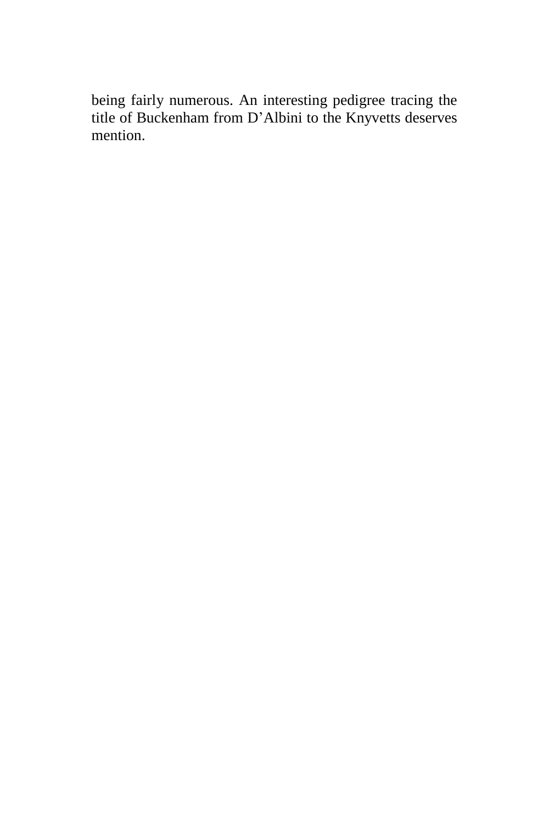being fairly numerous. An interesting pedigree tracing the title of Buckenham from D'Albini to the Knyvetts deserves mention.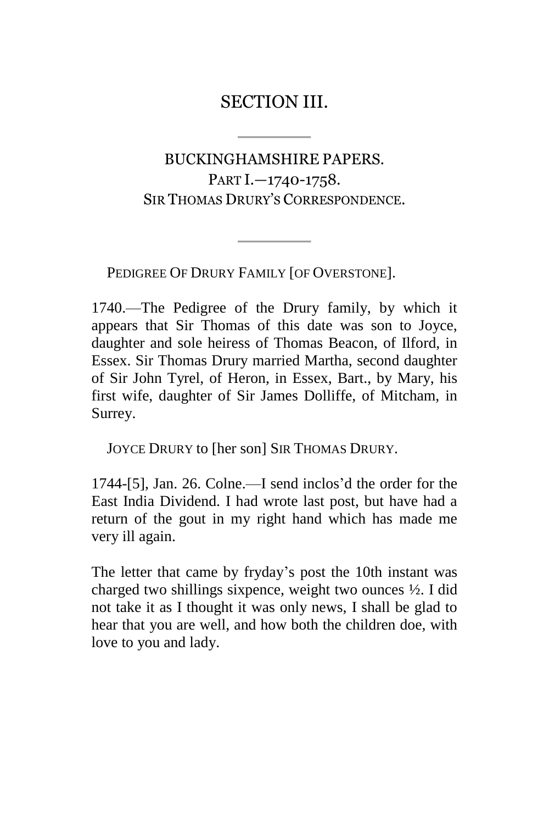### SECTION III.

### <span id="page-29-1"></span><span id="page-29-0"></span>BUCKINGHAMSHIRE PAPERS. PART I.—1740-1758. SIR THOMAS DRURY'S CORRESPONDENCE.

PEDIGREE OF DRURY FAMILY [OF OVERSTONE].

1740.—The Pedigree of the Drury family, by which it appears that Sir Thomas of this date was son to Joyce, daughter and sole heiress of Thomas Beacon, of Ilford, in Essex. Sir Thomas Drury married Martha, second daughter of Sir John Tyrel, of Heron, in Essex, Bart., by Mary, his first wife, daughter of Sir James Dolliffe, of Mitcham, in Surrey.

JOYCE DRURY to [her son] SIR THOMAS DRURY.

1744-[5], Jan. 26. Colne.—I send inclos'd the order for the East India Dividend. I had wrote last post, but have had a return of the gout in my right hand which has made me very ill again.

The letter that came by fryday's post the 10th instant was charged two shillings sixpence, weight two ounces ½. I did not take it as I thought it was only news, I shall be glad to hear that you are well, and how both the children doe, with love to you and lady.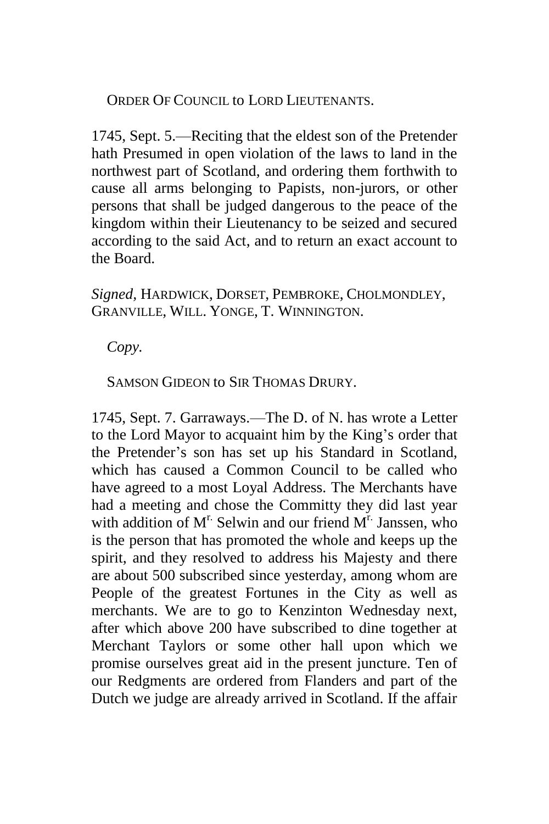ORDER OF COUNCIL to LORD LIEUTENANTS.

1745, Sept. 5.—Reciting that the eldest son of the Pretender hath Presumed in open violation of the laws to land in the northwest part of Scotland, and ordering them forthwith to cause all arms belonging to Papists, non-jurors, or other persons that shall be judged dangerous to the peace of the kingdom within their Lieutenancy to be seized and secured according to the said Act, and to return an exact account to the Board.

*Signed,* HARDWICK, DORSET, PEMBROKE, CHOLMONDLEY, GRANVILLE, WILL. YONGE, T. WINNINGTON.

*Copy.*

SAMSON GIDEON to SIR THOMAS DRURY.

1745, Sept. 7. Garraways.—The D. of N. has wrote a Letter to the Lord Mayor to acquaint him by the King's order that the Pretender's son has set up his Standard in Scotland, which has caused a Common Council to be called who have agreed to a most Loyal Address. The Merchants have had a meeting and chose the Committy they did last year with addition of  $M<sup>r</sup>$ . Selwin and our friend  $M<sup>r</sup>$ . Janssen, who is the person that has promoted the whole and keeps up the spirit, and they resolved to address his Majesty and there are about 500 subscribed since yesterday, among whom are People of the greatest Fortunes in the City as well as merchants. We are to go to Kenzinton Wednesday next, after which above 200 have subscribed to dine together at Merchant Taylors or some other hall upon which we promise ourselves great aid in the present juncture. Ten of our Redgments are ordered from Flanders and part of the Dutch we judge are already arrived in Scotland. If the affair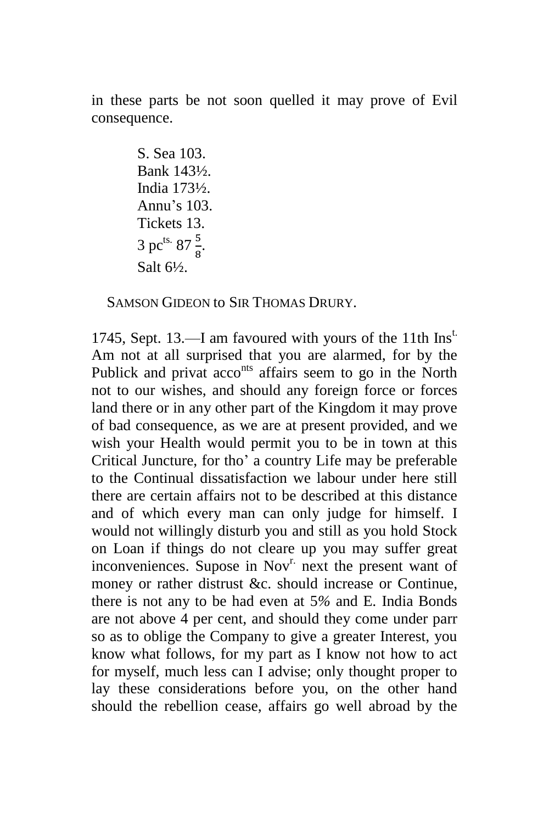in these parts be not soon quelled it may prove of Evil consequence.

> S. Sea 103. Bank 143½. India 173½. Annu's 103. Tickets 13. 3 pc<sup>ts.</sup> 87 $\frac{5}{8}$ . Salt 6½.

SAMSON GIDEON to SIR THOMAS DRURY.

1745, Sept. 13.—I am favoured with yours of the 11th  $\text{Ins}^t$ . Am not at all surprised that you are alarmed, for by the Publick and privat acco<sup>nts</sup> affairs seem to go in the North not to our wishes, and should any foreign force or forces land there or in any other part of the Kingdom it may prove of bad consequence, as we are at present provided, and we wish your Health would permit you to be in town at this Critical Juncture, for tho' a country Life may be preferable to the Continual dissatisfaction we labour under here still there are certain affairs not to be described at this distance and of which every man can only judge for himself. I would not willingly disturb you and still as you hold Stock on Loan if things do not cleare up you may suffer great inconveniences. Supose in Nov<sup>r.</sup> next the present want of money or rather distrust &c. should increase or Continue, there is not any to be had even at 5*%* and E. India Bonds are not above 4 per cent, and should they come under parr so as to oblige the Company to give a greater Interest, you know what follows, for my part as I know not how to act for myself, much less can I advise; only thought proper to lay these considerations before you, on the other hand should the rebellion cease, affairs go well abroad by the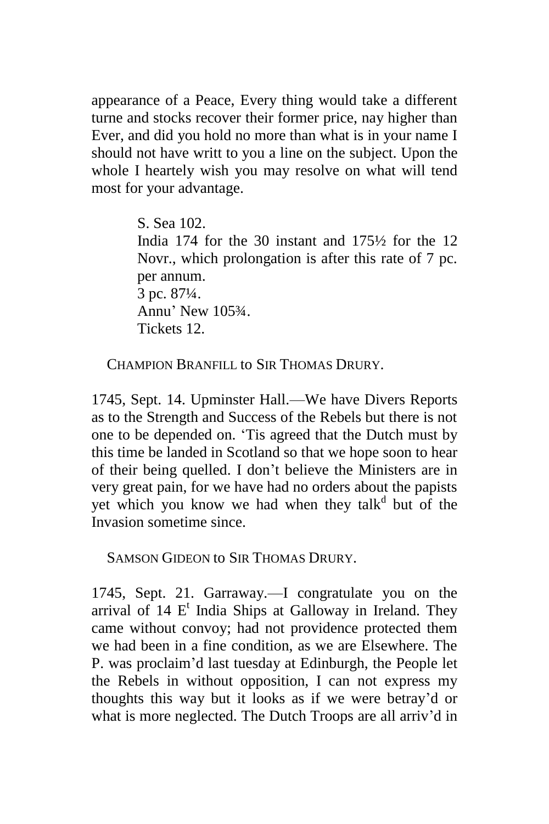appearance of a Peace, Every thing would take a different turne and stocks recover their former price, nay higher than Ever, and did you hold no more than what is in your name I should not have writt to you a line on the subject. Upon the whole I heartely wish you may resolve on what will tend most for your advantage.

> S. Sea 102. India 174 for the 30 instant and 175½ for the 12 Novr., which prolongation is after this rate of 7 pc. per annum. 3 pc. 87¼. Annu' New 105¾. Tickets 12.

CHAMPION BRANFILL to SIR THOMAS DRURY.

1745, Sept. 14. Upminster Hall.—We have Divers Reports as to the Strength and Success of the Rebels but there is not one to be depended on. 'Tis agreed that the Dutch must by this time be landed in Scotland so that we hope soon to hear of their being quelled. I don't believe the Ministers are in very great pain, for we have had no orders about the papists yet which you know we had when they talk<sup>d</sup> but of the Invasion sometime since.

SAMSON GIDEON to SIR THOMAS DRURY.

1745, Sept. 21. Garraway.—I congratulate you on the arrival of  $14 E<sup>t</sup>$  India Ships at Galloway in Ireland. They came without convoy; had not providence protected them we had been in a fine condition, as we are Elsewhere. The P. was proclaim'd last tuesday at Edinburgh, the People let the Rebels in without opposition, I can not express my thoughts this way but it looks as if we were betray'd or what is more neglected. The Dutch Troops are all arriv'd in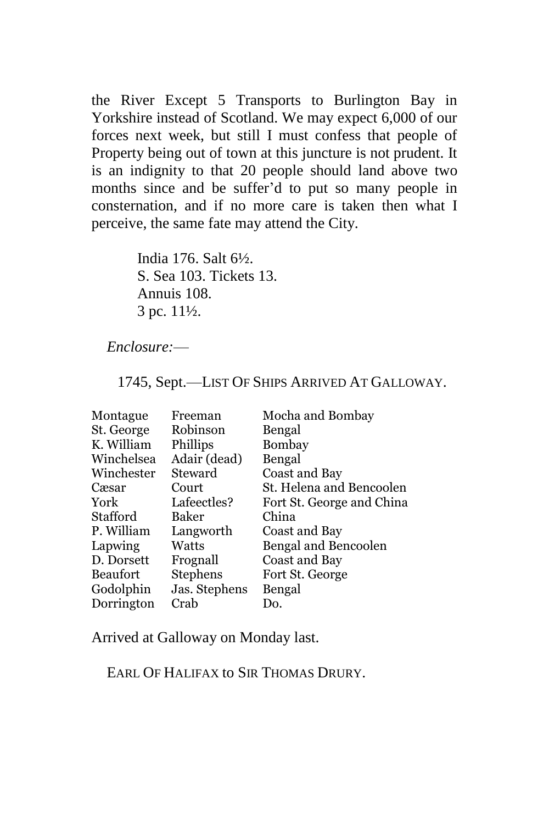the River Except 5 Transports to Burlington Bay in Yorkshire instead of Scotland. We may expect 6,000 of our forces next week, but still I must confess that people of Property being out of town at this juncture is not prudent. It is an indignity to that 20 people should land above two months since and be suffer'd to put so many people in consternation, and if no more care is taken then what I perceive, the same fate may attend the City.

> India 176. Salt 6½. S. Sea 103. Tickets 13. Annuis 108. 3 pc. 11½.

#### *Enclosure:*—

1745, Sept.—LIST OF SHIPS ARRIVED AT GALLOWAY.

| Montague        | Freeman         | Mocha and Bombay          |
|-----------------|-----------------|---------------------------|
| St. George      | Robinson        | Bengal                    |
| K. William      | Phillips        | Bombay                    |
| Winchelsea      | Adair (dead)    | Bengal                    |
| Winchester      | Steward         | Coast and Bay             |
| Cæsar           | Court           | St. Helena and Bencoolen  |
| York            | Lafeectles?     | Fort St. George and China |
| Stafford        | Baker           | China                     |
| P. William      | Langworth       | Coast and Bay             |
| Lapwing         | Watts           | Bengal and Bencoolen      |
| D. Dorsett      | Frognall        | Coast and Bay             |
| <b>Beaufort</b> | <b>Stephens</b> | Fort St. George           |
| Godolphin       | Jas. Stephens   | Bengal                    |
| Dorrington      | Crab            | Do.                       |

Arrived at Galloway on Monday last.

EARL OF HALIFAX to SIR THOMAS DRURY.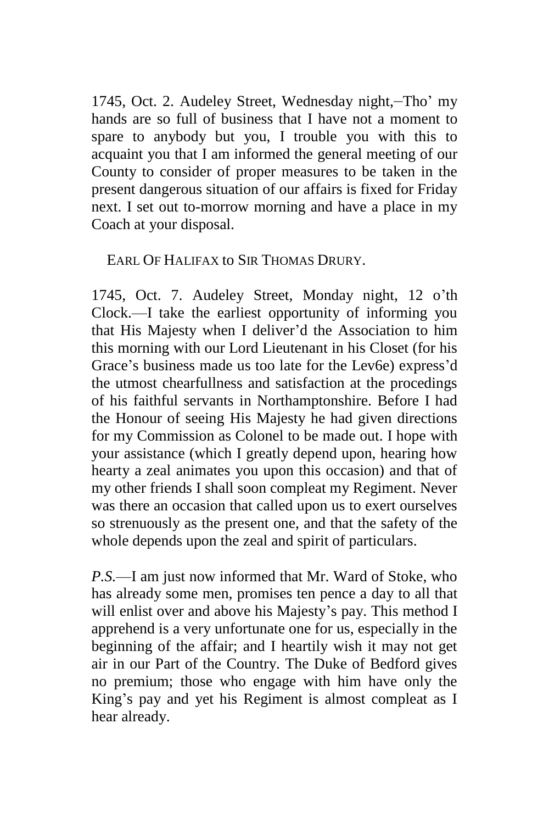1745, Oct. 2. Audeley Street, Wednesday night,—Tho' my hands are so full of business that I have not a moment to spare to anybody but you, I trouble you with this to acquaint you that I am informed the general meeting of our County to consider of proper measures to be taken in the present dangerous situation of our affairs is fixed for Friday next. I set out to-morrow morning and have a place in my Coach at your disposal.

#### EARL OF HALIFAX to SIR THOMAS DRURY.

1745, Oct. 7. Audeley Street, Monday night, 12 o'th Clock.—I take the earliest opportunity of informing you that His Majesty when I deliver'd the Association to him this morning with our Lord Lieutenant in his Closet (for his Grace's business made us too late for the Lev6e) express'd the utmost chearfullness and satisfaction at the procedings of his faithful servants in Northamptonshire. Before I had the Honour of seeing His Majesty he had given directions for my Commission as Colonel to be made out. I hope with your assistance (which I greatly depend upon, hearing how hearty a zeal animates you upon this occasion) and that of my other friends I shall soon compleat my Regiment. Never was there an occasion that called upon us to exert ourselves so strenuously as the present one, and that the safety of the whole depends upon the zeal and spirit of particulars.

*P.S.*—I am just now informed that Mr. Ward of Stoke, who has already some men, promises ten pence a day to all that will enlist over and above his Majesty's pay. This method I apprehend is a very unfortunate one for us, especially in the beginning of the affair; and I heartily wish it may not get air in our Part of the Country. The Duke of Bedford gives no premium; those who engage with him have only the King's pay and yet his Regiment is almost compleat as I hear already.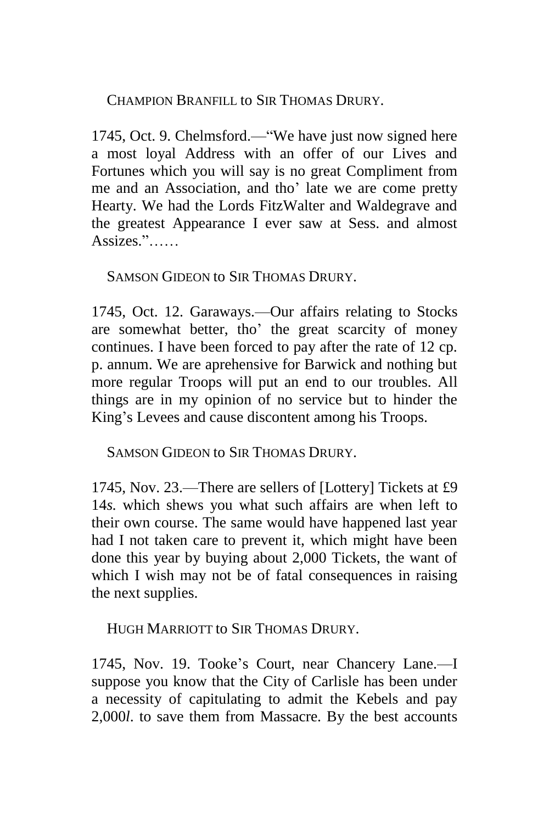CHAMPION BRANFILL to SIR THOMAS DRURY.

1745, Oct. 9. Chelmsford.—"We have just now signed here a most loyal Address with an offer of our Lives and Fortunes which you will say is no great Compliment from me and an Association, and tho' late we are come pretty Hearty. We had the Lords FitzWalter and Waldegrave and the greatest Appearance I ever saw at Sess. and almost Assizes."……

SAMSON GIDEON to SIR THOMAS DRURY.

1745, Oct. 12. Garaways.—Our affairs relating to Stocks are somewhat better, tho' the great scarcity of money continues. I have been forced to pay after the rate of 12 cp. p. annum. We are aprehensive for Barwick and nothing but more regular Troops will put an end to our troubles. All things are in my opinion of no service but to hinder the King's Levees and cause discontent among his Troops.

SAMSON GIDEON to SIR THOMAS DRURY.

1745, Nov. 23.—There are sellers of [Lottery] Tickets at £9 14*s.* which shews you what such affairs are when left to their own course. The same would have happened last year had I not taken care to prevent it, which might have been done this year by buying about 2,000 Tickets, the want of which I wish may not be of fatal consequences in raising the next supplies.

HUGH MARRIOTT to SIR THOMAS DRURY.

1745, Nov. 19. Tooke's Court, near Chancery Lane.—I suppose you know that the City of Carlisle has been under a necessity of capitulating to admit the Kebels and pay 2,000*l*. to save them from Massacre. By the best accounts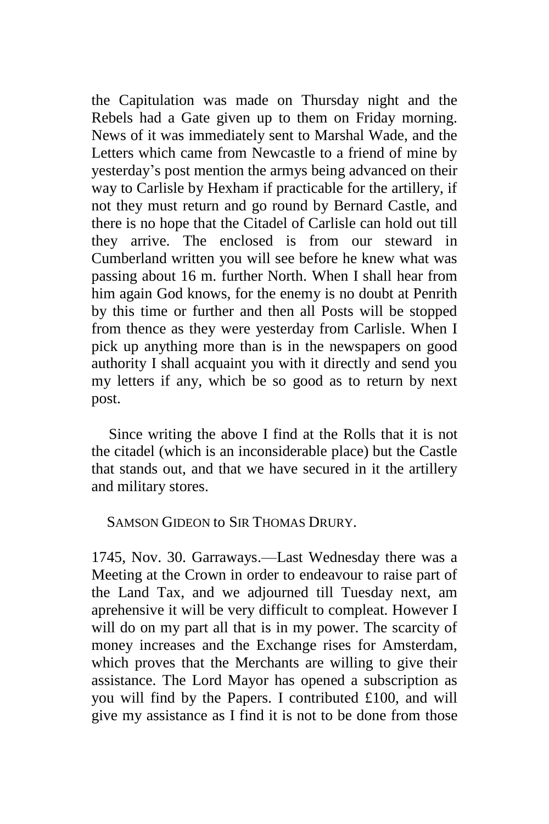the Capitulation was made on Thursday night and the Rebels had a Gate given up to them on Friday morning. News of it was immediately sent to Marshal Wade, and the Letters which came from Newcastle to a friend of mine by yesterday's post mention the armys being advanced on their way to Carlisle by Hexham if practicable for the artillery, if not they must return and go round by Bernard Castle, and there is no hope that the Citadel of Carlisle can hold out till they arrive. The enclosed is from our steward in Cumberland written you will see before he knew what was passing about 16 m. further North. When I shall hear from him again God knows, for the enemy is no doubt at Penrith by this time or further and then all Posts will be stopped from thence as they were yesterday from Carlisle. When I pick up anything more than is in the newspapers on good authority I shall acquaint you with it directly and send you my letters if any, which be so good as to return by next post.

Since writing the above I find at the Rolls that it is not the citadel (which is an inconsiderable place) but the Castle that stands out, and that we have secured in it the artillery and military stores.

#### SAMSON GIDEON to SIR THOMAS DRURY.

1745, Nov. 30. Garraways.—Last Wednesday there was a Meeting at the Crown in order to endeavour to raise part of the Land Tax, and we adjourned till Tuesday next, am aprehensive it will be very difficult to compleat. However I will do on my part all that is in my power. The scarcity of money increases and the Exchange rises for Amsterdam, which proves that the Merchants are willing to give their assistance. The Lord Mayor has opened a subscription as you will find by the Papers. I contributed £100, and will give my assistance as I find it is not to be done from those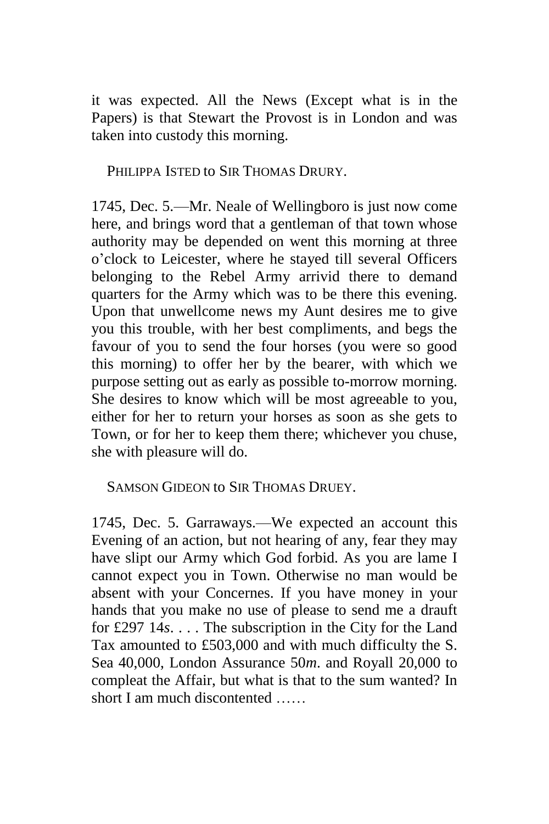it was expected. All the News (Except what is in the Papers) is that Stewart the Provost is in London and was taken into custody this morning.

PHILIPPA ISTED to SIR THOMAS DRURY.

1745, Dec. 5.—Mr. Neale of Wellingboro is just now come here, and brings word that a gentleman of that town whose authority may be depended on went this morning at three o'clock to Leicester, where he stayed till several Officers belonging to the Rebel Army arrivid there to demand quarters for the Army which was to be there this evening. Upon that unwellcome news my Aunt desires me to give you this trouble, with her best compliments, and begs the favour of you to send the four horses (you were so good this morning) to offer her by the bearer, with which we purpose setting out as early as possible to-morrow morning. She desires to know which will be most agreeable to you, either for her to return your horses as soon as she gets to Town, or for her to keep them there; whichever you chuse, she with pleasure will do.

SAMSON GIDEON to SIR THOMAS DRUEY.

1745, Dec. 5. Garraways.—We expected an account this Evening of an action, but not hearing of any, fear they may have slipt our Army which God forbid. As you are lame I cannot expect you in Town. Otherwise no man would be absent with your Concernes. If you have money in your hands that you make no use of please to send me a drauft for £297 14*s*. . . . The subscription in the City for the Land Tax amounted to £503,000 and with much difficulty the S. Sea 40,000, London Assurance 50*m*. and Royall 20,000 to compleat the Affair, but what is that to the sum wanted? In short I am much discontented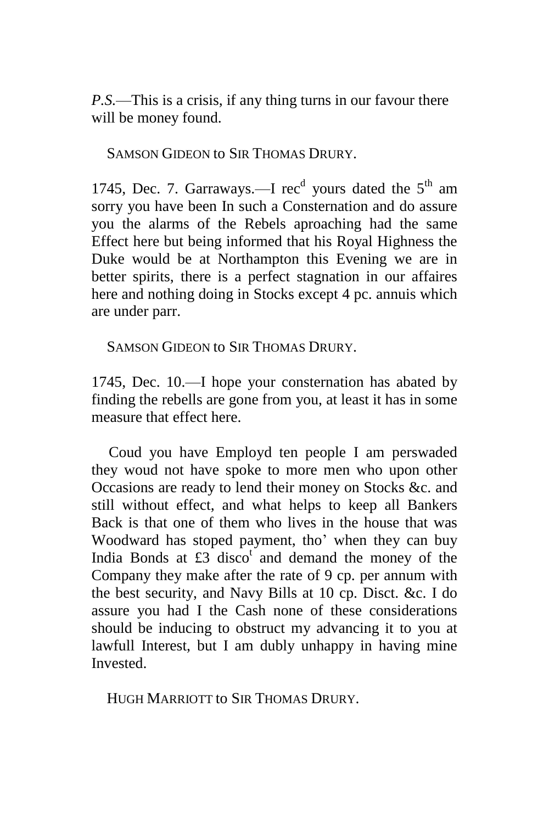*P.S.*—This is a crisis, if any thing turns in our favour there will be money found.

SAMSON GIDEON to SIR THOMAS DRURY.

1745, Dec. 7. Garraways.—I rec<sup>d</sup> yours dated the  $5<sup>th</sup>$  am sorry you have been In such a Consternation and do assure you the alarms of the Rebels aproaching had the same Effect here but being informed that his Royal Highness the Duke would be at Northampton this Evening we are in better spirits, there is a perfect stagnation in our affaires here and nothing doing in Stocks except 4 pc. annuis which are under parr.

SAMSON GIDEON to SIR THOMAS DRURY.

1745, Dec. 10.—I hope your consternation has abated by finding the rebells are gone from you, at least it has in some measure that effect here.

Coud you have Employd ten people I am perswaded they woud not have spoke to more men who upon other Occasions are ready to lend their money on Stocks &c. and still without effect, and what helps to keep all Bankers Back is that one of them who lives in the house that was Woodward has stoped payment, tho' when they can buy India Bonds at  $\pounds 3$  disco<sup>t</sup> and demand the money of the Company they make after the rate of 9 cp. per annum with the best security, and Navy Bills at 10 cp. Disct. &c. I do assure you had I the Cash none of these considerations should be inducing to obstruct my advancing it to you at lawfull Interest, but I am dubly unhappy in having mine Invested.

HUGH MARRIOTT to SIR THOMAS DRURY.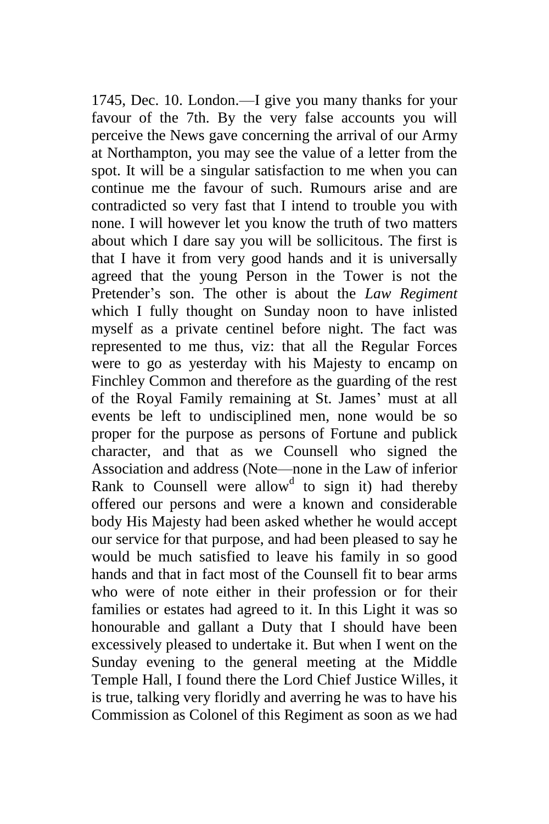1745, Dec. 10. London.—I give you many thanks for your favour of the 7th. By the very false accounts you will perceive the News gave concerning the arrival of our Army at Northampton, you may see the value of a letter from the spot. It will be a singular satisfaction to me when you can continue me the favour of such. Rumours arise and are contradicted so very fast that I intend to trouble you with none. I will however let you know the truth of two matters about which I dare say you will be sollicitous. The first is that I have it from very good hands and it is universally agreed that the young Person in the Tower is not the Pretender's son. The other is about the *Law Regiment*  which I fully thought on Sunday noon to have inlisted myself as a private centinel before night. The fact was represented to me thus, viz: that all the Regular Forces were to go as yesterday with his Majesty to encamp on Finchley Common and therefore as the guarding of the rest of the Royal Family remaining at St. James' must at all events be left to undisciplined men, none would be so proper for the purpose as persons of Fortune and publick character, and that as we Counsell who signed the Association and address (Note—none in the Law of inferior Rank to Counsell were allow<sup>d</sup> to sign it) had thereby offered our persons and were a known and considerable body His Majesty had been asked whether he would accept our service for that purpose, and had been pleased to say he would be much satisfied to leave his family in so good hands and that in fact most of the Counsell fit to bear arms who were of note either in their profession or for their families or estates had agreed to it. In this Light it was so honourable and gallant a Duty that I should have been excessively pleased to undertake it. But when I went on the Sunday evening to the general meeting at the Middle Temple Hall, I found there the Lord Chief Justice Willes, it is true, talking very floridly and averring he was to have his Commission as Colonel of this Regiment as soon as we had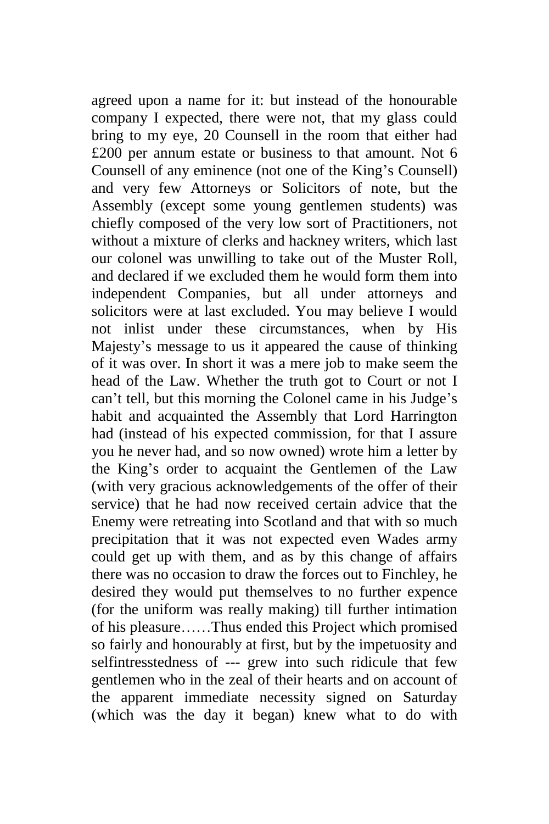agreed upon a name for it: but instead of the honourable company I expected, there were not, that my glass could bring to my eye, 20 Counsell in the room that either had £200 per annum estate or business to that amount. Not 6 Counsell of any eminence (not one of the King's Counsell) and very few Attorneys or Solicitors of note, but the Assembly (except some young gentlemen students) was chiefly composed of the very low sort of Practitioners, not without a mixture of clerks and hackney writers, which last our colonel was unwilling to take out of the Muster Roll, and declared if we excluded them he would form them into independent Companies, but all under attorneys and solicitors were at last excluded. You may believe I would not inlist under these circumstances, when by His Majesty's message to us it appeared the cause of thinking of it was over. In short it was a mere job to make seem the head of the Law. Whether the truth got to Court or not I can't tell, but this morning the Colonel came in his Judge's habit and acquainted the Assembly that Lord Harrington had (instead of his expected commission, for that I assure you he never had, and so now owned) wrote him a letter by the King's order to acquaint the Gentlemen of the Law (with very gracious acknowledgements of the offer of their service) that he had now received certain advice that the Enemy were retreating into Scotland and that with so much precipitation that it was not expected even Wades army could get up with them, and as by this change of affairs there was no occasion to draw the forces out to Finchley, he desired they would put themselves to no further expence (for the uniform was really making) till further intimation of his pleasure……Thus ended this Project which promised so fairly and honourably at first, but by the impetuosity and selfintresstedness of --- grew into such ridicule that few gentlemen who in the zeal of their hearts and on account of the apparent immediate necessity signed on Saturday (which was the day it began) knew what to do with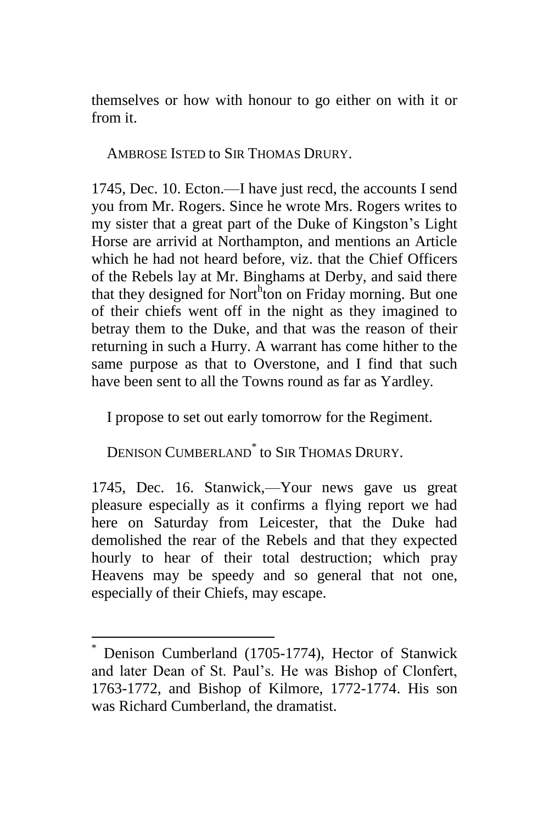themselves or how with honour to go either on with it or from it.

AMBROSE ISTED to SIR THOMAS DRURY.

1745, Dec. 10. Ecton.—I have just recd, the accounts I send you from Mr. Rogers. Since he wrote Mrs. Rogers writes to my sister that a great part of the Duke of Kingston's Light Horse are arrivid at Northampton, and mentions an Article which he had not heard before, viz. that the Chief Officers of the Rebels lay at Mr. Binghams at Derby, and said there that they designed for North ton on Friday morning. But one of their chiefs went off in the night as they imagined to betray them to the Duke, and that was the reason of their returning in such a Hurry. A warrant has come hither to the same purpose as that to Overstone, and I find that such have been sent to all the Towns round as far as Yardley.

I propose to set out early tomorrow for the Regiment.

DENISON CUMBERLAND\* to SIR THOMAS DRURY.

1745, Dec. 16. Stanwick,—Your news gave us great pleasure especially as it confirms a flying report we had here on Saturday from Leicester, that the Duke had demolished the rear of the Rebels and that they expected hourly to hear of their total destruction; which pray Heavens may be speedy and so general that not one, especially of their Chiefs, may escape.

Denison Cumberland (1705-1774), Hector of Stanwick and later Dean of St. Paul's. He was Bishop of Clonfert, 1763-1772, and Bishop of Kilmore, 1772-1774. His son was Richard Cumberland, the dramatist.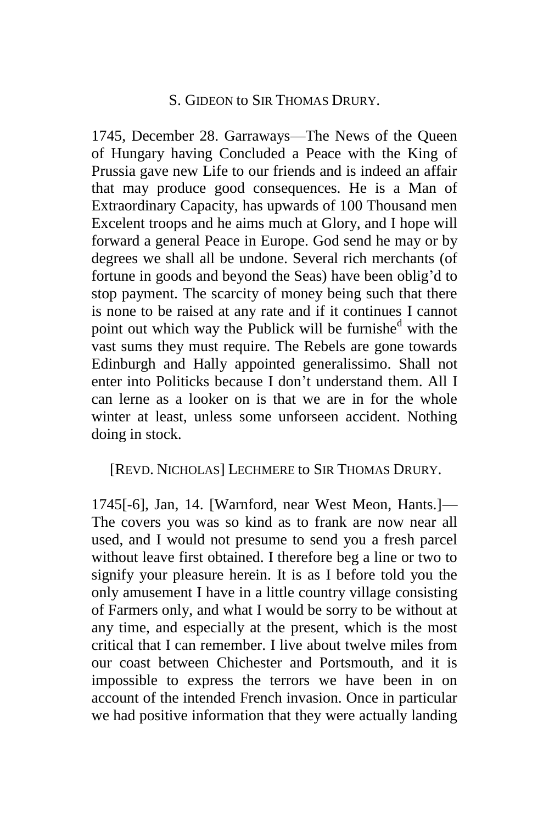#### S. GIDEON to SIR THOMAS DRURY.

1745, December 28. Garraways—The News of the Queen of Hungary having Concluded a Peace with the King of Prussia gave new Life to our friends and is indeed an affair that may produce good consequences. He is a Man of Extraordinary Capacity, has upwards of 100 Thousand men Excelent troops and he aims much at Glory, and I hope will forward a general Peace in Europe. God send he may or by degrees we shall all be undone. Several rich merchants (of fortune in goods and beyond the Seas) have been oblig'd to stop payment. The scarcity of money being such that there is none to be raised at any rate and if it continues I cannot point out which way the Publick will be furnished with the vast sums they must require. The Rebels are gone towards Edinburgh and Hally appointed generalissimo. Shall not enter into Politicks because I don't understand them. All I can lerne as a looker on is that we are in for the whole winter at least, unless some unforseen accident. Nothing doing in stock.

#### [REVD. NICHOLAS] LECHMERE to SIR THOMAS DRURY.

1745[-6], Jan, 14. [Warnford, near West Meon, Hants.]— The covers you was so kind as to frank are now near all used, and I would not presume to send you a fresh parcel without leave first obtained. I therefore beg a line or two to signify your pleasure herein. It is as I before told you the only amusement I have in a little country village consisting of Farmers only, and what I would be sorry to be without at any time, and especially at the present, which is the most critical that I can remember. I live about twelve miles from our coast between Chichester and Portsmouth, and it is impossible to express the terrors we have been in on account of the intended French invasion. Once in particular we had positive information that they were actually landing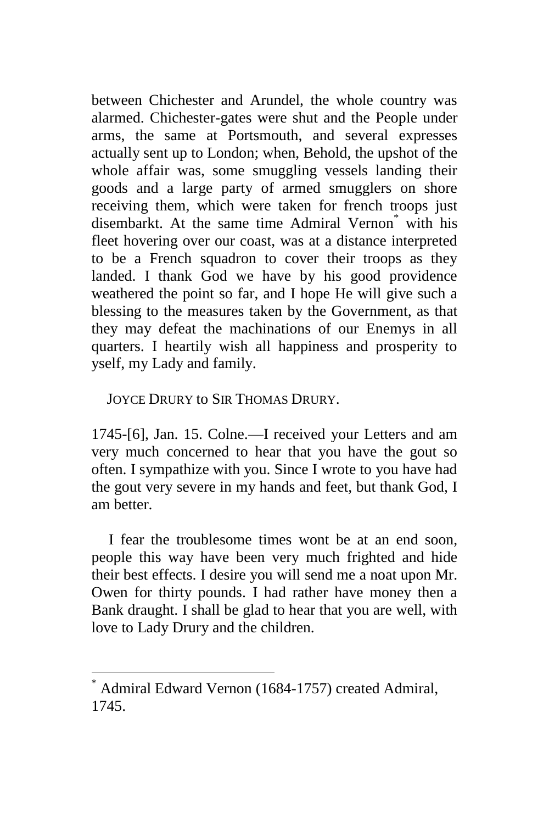between Chichester and Arundel, the whole country was alarmed. Chichester-gates were shut and the People under arms, the same at Portsmouth, and several expresses actually sent up to London; when, Behold, the upshot of the whole affair was, some smuggling vessels landing their goods and a large party of armed smugglers on shore receiving them, which were taken for french troops just disembarkt. At the same time Admiral Vernon<sup>\*</sup> with his fleet hovering over our coast, was at a distance interpreted to be a French squadron to cover their troops as they landed. I thank God we have by his good providence weathered the point so far, and I hope He will give such a blessing to the measures taken by the Government, as that they may defeat the machinations of our Enemys in all quarters. I heartily wish all happiness and prosperity to yself, my Lady and family.

JOYCE DRURY to SIR THOMAS DRURY.

1745-[6], Jan. 15. Colne.—I received your Letters and am very much concerned to hear that you have the gout so often. I sympathize with you. Since I wrote to you have had the gout very severe in my hands and feet, but thank God, I am better.

I fear the troublesome times wont be at an end soon, people this way have been very much frighted and hide their best effects. I desire you will send me a noat upon Mr. Owen for thirty pounds. I had rather have money then a Bank draught. I shall be glad to hear that you are well, with love to Lady Drury and the children.

Admiral Edward Vernon (1684-1757) created Admiral, 1745.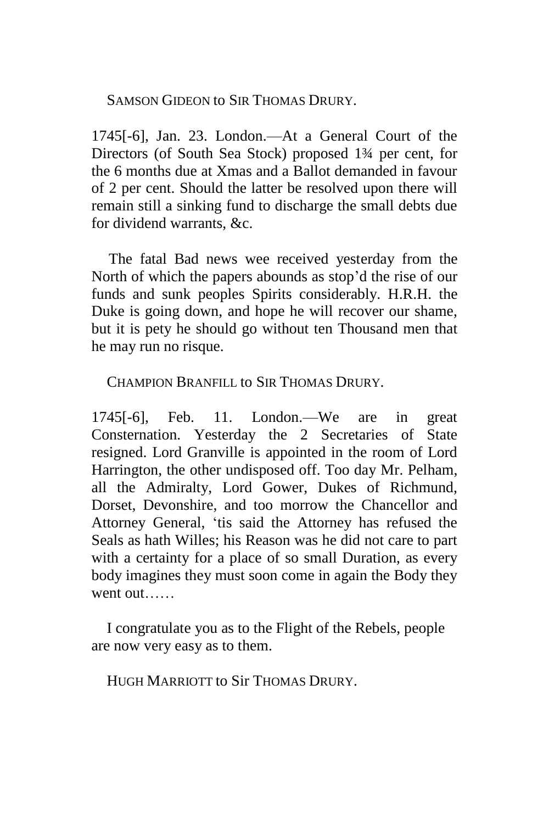SAMSON GIDEON to SIR THOMAS DRURY.

1745[-6], Jan. 23. London.—At a General Court of the Directors (of South Sea Stock) proposed 1¾ per cent, for the 6 months due at Xmas and a Ballot demanded in favour of 2 per cent. Should the latter be resolved upon there will remain still a sinking fund to discharge the small debts due for dividend warrants, &c.

The fatal Bad news wee received yesterday from the North of which the papers abounds as stop'd the rise of our funds and sunk peoples Spirits considerably. H.R.H. the Duke is going down, and hope he will recover our shame, but it is pety he should go without ten Thousand men that he may run no risque.

CHAMPION BRANFILL to SIR THOMAS DRURY.

1745[-6], Feb. 11. London.—We are in great Consternation. Yesterday the 2 Secretaries of State resigned. Lord Granville is appointed in the room of Lord Harrington, the other undisposed off. Too day Mr. Pelham, all the Admiralty, Lord Gower, Dukes of Richmund, Dorset, Devonshire, and too morrow the Chancellor and Attorney General, 'tis said the Attorney has refused the Seals as hath Willes; his Reason was he did not care to part with a certainty for a place of so small Duration, as every body imagines they must soon come in again the Body they went out……

I congratulate you as to the Flight of the Rebels, people are now very easy as to them.

HUGH MARRIOTT to Sir THOMAS DRURY.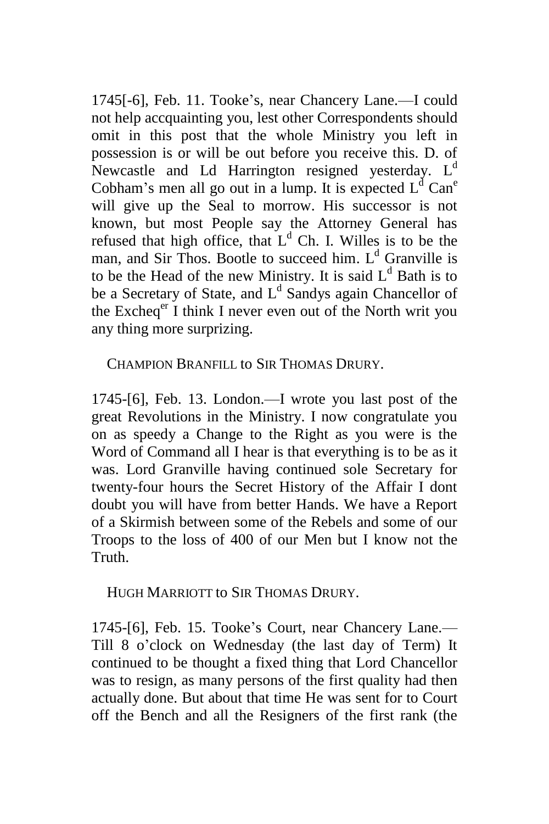1745[-6], Feb. 11. Tooke's, near Chancery Lane.—I could not help accquainting you, lest other Correspondents should omit in this post that the whole Ministry you left in possession is or will be out before you receive this. D. of Newcastle and Ld Harrington resigned yesterday.  $L<sup>d</sup>$ Cobham's men all go out in a lump. It is expected  $L<sup>d</sup> Can<sup>e</sup>$ will give up the Seal to morrow. His successor is not known, but most People say the Attorney General has refused that high office, that  $L<sup>d</sup>$  Ch. I. Willes is to be the man, and Sir Thos. Bootle to succeed him.  $L<sup>d</sup>$  Granville is to be the Head of the new Ministry. It is said  $L<sup>d</sup>$  Bath is to be a Secretary of State, and  $L<sup>d</sup>$  Sandys again Chancellor of the Excheq<sup>er</sup> I think I never even out of the North writ you any thing more surprizing.

CHAMPION BRANFILL to SIR THOMAS DRURY.

1745-[6], Feb. 13. London.—I wrote you last post of the great Revolutions in the Ministry. I now congratulate you on as speedy a Change to the Right as you were is the Word of Command all I hear is that everything is to be as it was. Lord Granville having continued sole Secretary for twenty-four hours the Secret History of the Affair I dont doubt you will have from better Hands. We have a Report of a Skirmish between some of the Rebels and some of our Troops to the loss of 400 of our Men but I know not the Truth.

HUGH MARRIOTT to SIR THOMAS DRURY.

1745-[6], Feb. 15. Tooke's Court, near Chancery Lane.— Till 8 o'clock on Wednesday (the last day of Term) It continued to be thought a fixed thing that Lord Chancellor was to resign, as many persons of the first quality had then actually done. But about that time He was sent for to Court off the Bench and all the Resigners of the first rank (the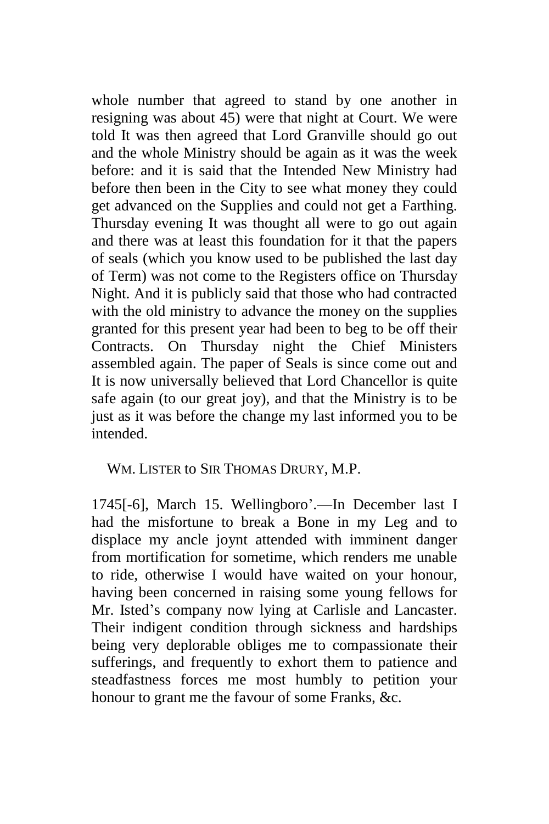whole number that agreed to stand by one another in resigning was about 45) were that night at Court. We were told It was then agreed that Lord Granville should go out and the whole Ministry should be again as it was the week before: and it is said that the Intended New Ministry had before then been in the City to see what money they could get advanced on the Supplies and could not get a Farthing. Thursday evening It was thought all were to go out again and there was at least this foundation for it that the papers of seals (which you know used to be published the last day of Term) was not come to the Registers office on Thursday Night. And it is publicly said that those who had contracted with the old ministry to advance the money on the supplies granted for this present year had been to beg to be off their Contracts. On Thursday night the Chief Ministers assembled again. The paper of Seals is since come out and It is now universally believed that Lord Chancellor is quite safe again (to our great joy), and that the Ministry is to be just as it was before the change my last informed you to be intended.

WM. LISTER to SIR THOMAS DRURY, M.P.

1745[-6], March 15. Wellingboro'.—In December last I had the misfortune to break a Bone in my Leg and to displace my ancle joynt attended with imminent danger from mortification for sometime, which renders me unable to ride, otherwise I would have waited on your honour, having been concerned in raising some young fellows for Mr. Isted's company now lying at Carlisle and Lancaster. Their indigent condition through sickness and hardships being very deplorable obliges me to compassionate their sufferings, and frequently to exhort them to patience and steadfastness forces me most humbly to petition your honour to grant me the favour of some Franks, &c.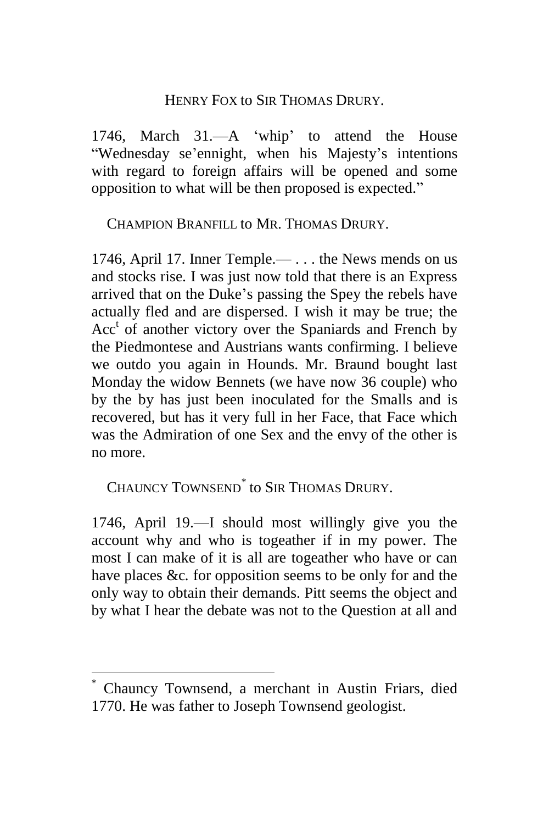#### HENRY FOX to SIR THOMAS DRURY.

1746, March 31.—A 'whip' to attend the House "Wednesday se'ennight, when his Majesty's intentions with regard to foreign affairs will be opened and some opposition to what will be then proposed is expected."

CHAMPION BRANFILL to MR. THOMAS DRURY.

1746, April 17. Inner Temple.— . . . the News mends on us and stocks rise. I was just now told that there is an Express arrived that on the Duke's passing the Spey the rebels have actually fled and are dispersed. I wish it may be true; the Acc<sup>t</sup> of another victory over the Spaniards and French by the Piedmontese and Austrians wants confirming. I believe we outdo you again in Hounds. Mr. Braund bought last Monday the widow Bennets (we have now 36 couple) who by the by has just been inoculated for the Smalls and is recovered, but has it very full in her Face, that Face which was the Admiration of one Sex and the envy of the other is no more.

CHAUNCY TOWNSEND\* to SIR THOMAS DRURY.

1746, April 19.—I should most willingly give you the account why and who is togeather if in my power. The most I can make of it is all are togeather who have or can have places &c*.* for opposition seems to be only for and the only way to obtain their demands. Pitt seems the object and by what I hear the debate was not to the Question at all and

<sup>\*</sup> Chauncy Townsend, a merchant in Austin Friars, died 1770. He was father to Joseph Townsend geologist.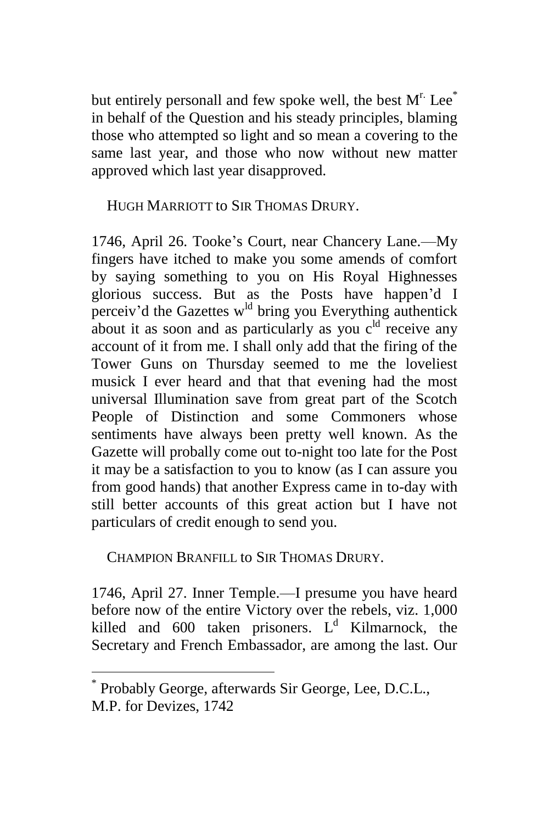but entirely personall and few spoke well, the best  $M<sup>r</sup>$ . Lee<sup>\*</sup> in behalf of the Question and his steady principles, blaming those who attempted so light and so mean a covering to the same last year, and those who now without new matter approved which last year disapproved.

HUGH MARRIOTT to SIR THOMAS DRURY.

1746, April 26. Tooke's Court, near Chancery Lane.—My fingers have itched to make you some amends of comfort by saying something to you on His Royal Highnesses glorious success. But as the Posts have happen'd I perceiv'd the Gazettes w<sup>ld</sup> bring you Everything authentick about it as soon and as particularly as you  $c^{ld}$  receive any account of it from me. I shall only add that the firing of the Tower Guns on Thursday seemed to me the loveliest musick I ever heard and that that evening had the most universal Illumination save from great part of the Scotch People of Distinction and some Commoners whose sentiments have always been pretty well known. As the Gazette will probally come out to-night too late for the Post it may be a satisfaction to you to know (as I can assure you from good hands) that another Express came in to-day with still better accounts of this great action but I have not particulars of credit enough to send you.

CHAMPION BRANFILL to SIR THOMAS DRURY.

1746, April 27. Inner Temple.—I presume you have heard before now of the entire Victory over the rebels, viz. 1,000 killed and 600 taken prisoners.  $L<sup>d</sup>$  Kilmarnock, the Secretary and French Embassador, are among the last. Our

<sup>\*</sup> Probably George, afterwards Sir George, Lee, D.C.L., M.P. for Devizes, 1742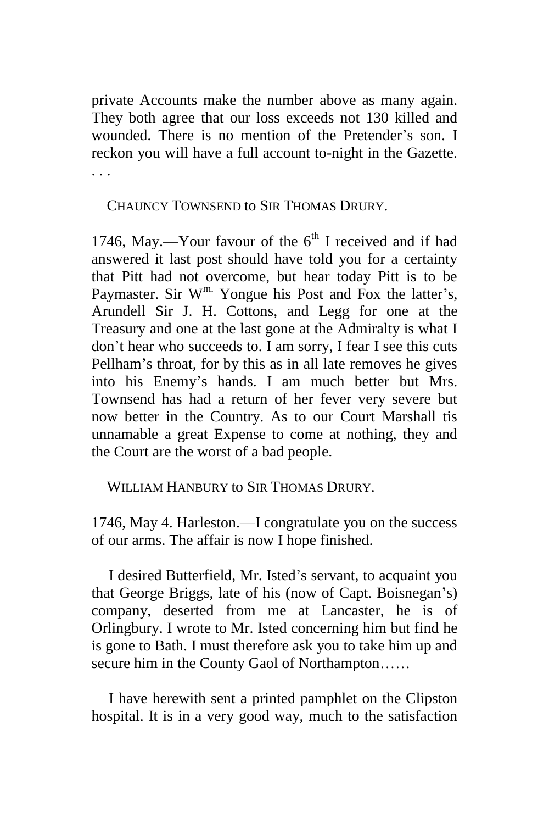private Accounts make the number above as many again. They both agree that our loss exceeds not 130 killed and wounded. There is no mention of the Pretender's son. I reckon you will have a full account to-night in the Gazette. . . .

CHAUNCY TOWNSEND to SIR THOMAS DRURY.

1746, May.—Your favour of the  $6<sup>th</sup>$  I received and if had answered it last post should have told you for a certainty that Pitt had not overcome, but hear today Pitt is to be Paymaster. Sir  $W^m$ . Yongue his Post and Fox the latter's, Arundell Sir J. H. Cottons, and Legg for one at the Treasury and one at the last gone at the Admiralty is what I don't hear who succeeds to. I am sorry, I fear I see this cuts Pellham's throat, for by this as in all late removes he gives into his Enemy's hands. I am much better but Mrs. Townsend has had a return of her fever very severe but now better in the Country. As to our Court Marshall tis unnamable a great Expense to come at nothing, they and the Court are the worst of a bad people.

WILLIAM HANBURY to SIR THOMAS DRURY.

1746, May 4. Harleston.—I congratulate you on the success of our arms. The affair is now I hope finished.

I desired Butterfield, Mr. Isted's servant, to acquaint you that George Briggs, late of his (now of Capt. Boisnegan's) company, deserted from me at Lancaster, he is of Orlingbury. I wrote to Mr. Isted concerning him but find he is gone to Bath. I must therefore ask you to take him up and secure him in the County Gaol of Northampton……

I have herewith sent a printed pamphlet on the Clipston hospital. It is in a very good way, much to the satisfaction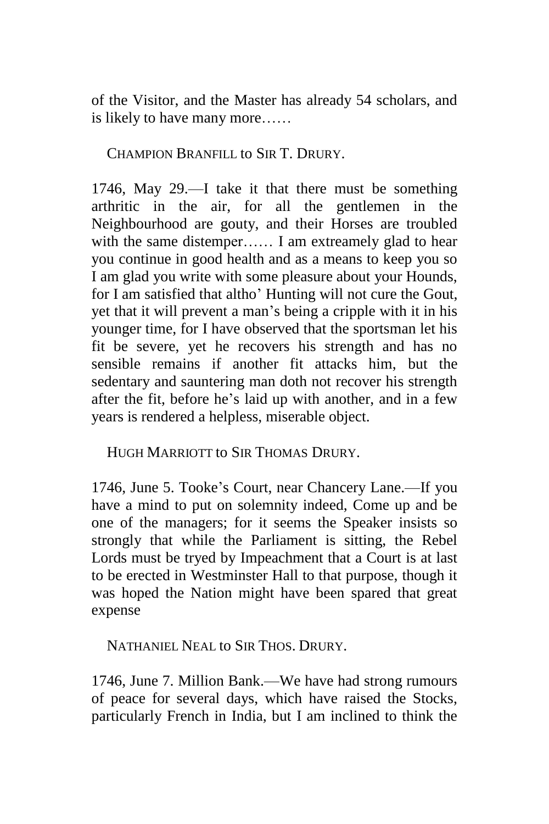of the Visitor, and the Master has already 54 scholars, and is likely to have many more……

CHAMPION BRANFILL to SIR T. DRURY.

1746, May 29.—I take it that there must be something arthritic in the air, for all the gentlemen in the Neighbourhood are gouty, and their Horses are troubled with the same distemper...... I am extreamely glad to hear you continue in good health and as a means to keep you so I am glad you write with some pleasure about your Hounds, for I am satisfied that altho' Hunting will not cure the Gout, yet that it will prevent a man's being a cripple with it in his younger time, for I have observed that the sportsman let his fit be severe, yet he recovers his strength and has no sensible remains if another fit attacks him, but the sedentary and sauntering man doth not recover his strength after the fit, before he's laid up with another, and in a few years is rendered a helpless, miserable object.

HUGH MARRIOTT to SIR THOMAS DRURY.

1746, June 5. Tooke's Court, near Chancery Lane.—If you have a mind to put on solemnity indeed, Come up and be one of the managers; for it seems the Speaker insists so strongly that while the Parliament is sitting, the Rebel Lords must be tryed by Impeachment that a Court is at last to be erected in Westminster Hall to that purpose, though it was hoped the Nation might have been spared that great expense

NATHANIEL NEAL to SIR THOS. DRURY.

1746, June 7. Million Bank.—We have had strong rumours of peace for several days, which have raised the Stocks, particularly French in India, but I am inclined to think the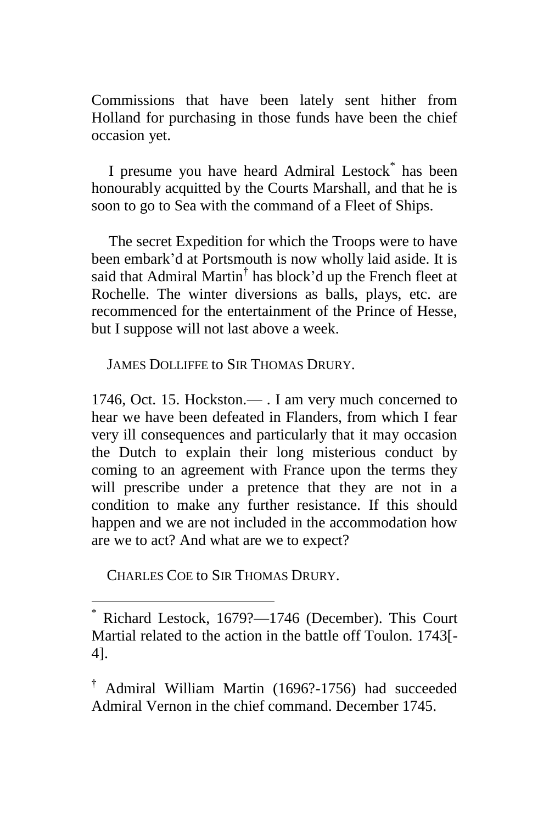Commissions that have been lately sent hither from Holland for purchasing in those funds have been the chief occasion yet.

I presume you have heard Admiral Lestock<sup>\*</sup> has been honourably acquitted by the Courts Marshall, and that he is soon to go to Sea with the command of a Fleet of Ships.

The secret Expedition for which the Troops were to have been embark'd at Portsmouth is now wholly laid aside. It is said that Admiral Martin<sup>†</sup> has block'd up the French fleet at Rochelle. The winter diversions as balls, plays, etc. are recommenced for the entertainment of the Prince of Hesse, but I suppose will not last above a week.

JAMES DOLLIFFE to SIR THOMAS DRURY.

1746, Oct. 15. Hockston.— . I am very much concerned to hear we have been defeated in Flanders, from which I fear very ill consequences and particularly that it may occasion the Dutch to explain their long misterious conduct by coming to an agreement with France upon the terms they will prescribe under a pretence that they are not in a condition to make any further resistance. If this should happen and we are not included in the accommodation how are we to act? And what are we to expect?

CHARLES COE to SIR THOMAS DRURY.

<sup>\*</sup> Richard Lestock, 1679?—1746 (December). This Court Martial related to the action in the battle off Toulon. 1743[- 4].

<sup>†</sup> Admiral William Martin (1696?-1756) had succeeded Admiral Vernon in the chief command. December 1745.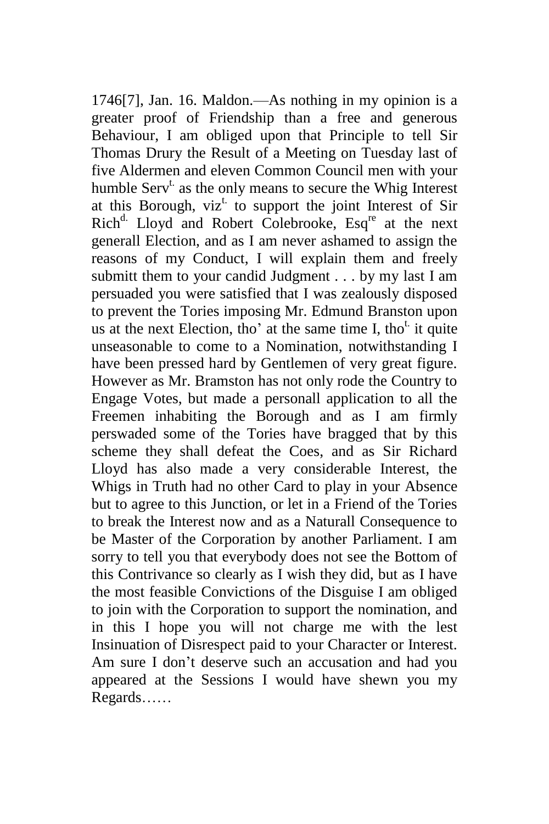1746[7], Jan. 16. Maldon.—As nothing in my opinion is a greater proof of Friendship than a free and generous Behaviour, I am obliged upon that Principle to tell Sir Thomas Drury the Result of a Meeting on Tuesday last of five Aldermen and eleven Common Council men with your humble  $Serv^t$  as the only means to secure the Whig Interest at this Borough,  $viz^t$  to support the joint Interest of Sir Rich<sup>d.</sup> Lloyd and Robert Colebrooke, Esq<sup>re</sup> at the next generall Election, and as I am never ashamed to assign the reasons of my Conduct, I will explain them and freely submitt them to your candid Judgment . . . by my last I am persuaded you were satisfied that I was zealously disposed to prevent the Tories imposing Mr. Edmund Branston upon us at the next Election, tho' at the same time I, tho<sup>t</sup> it quite unseasonable to come to a Nomination, notwithstanding I have been pressed hard by Gentlemen of very great figure. However as Mr. Bramston has not only rode the Country to Engage Votes, but made a personall application to all the Freemen inhabiting the Borough and as I am firmly perswaded some of the Tories have bragged that by this scheme they shall defeat the Coes, and as Sir Richard Lloyd has also made a very considerable Interest, the Whigs in Truth had no other Card to play in your Absence but to agree to this Junction, or let in a Friend of the Tories to break the Interest now and as a Naturall Consequence to be Master of the Corporation by another Parliament. I am sorry to tell you that everybody does not see the Bottom of this Contrivance so clearly as I wish they did, but as I have the most feasible Convictions of the Disguise I am obliged to join with the Corporation to support the nomination, and in this I hope you will not charge me with the lest Insinuation of Disrespect paid to your Character or Interest. Am sure I don't deserve such an accusation and had you appeared at the Sessions I would have shewn you my Regards……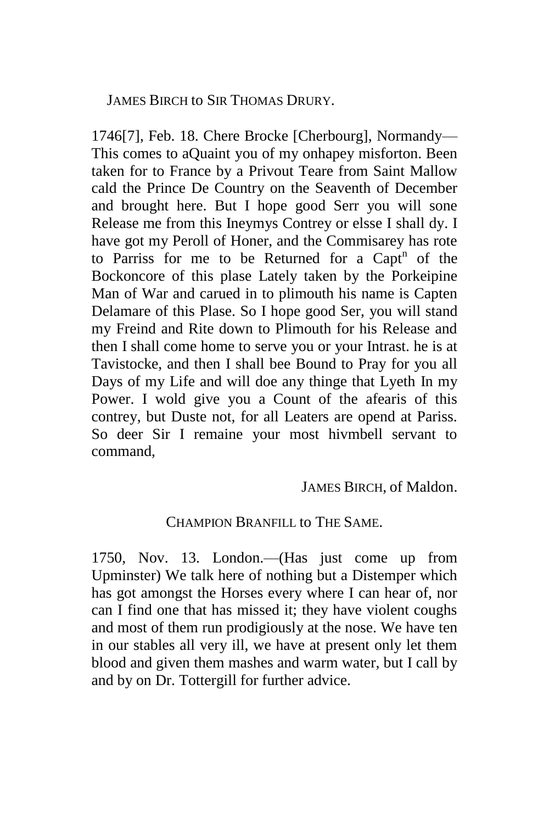JAMES BIRCH to SIR THOMAS DRURY.

1746[7], Feb. 18. Chere Brocke [Cherbourg], Normandy— This comes to aQuaint you of my onhapey misforton. Been taken for to France by a Privout Teare from Saint Mallow cald the Prince De Country on the Seaventh of December and brought here. But I hope good Serr you will sone Release me from this Ineymys Contrey or elsse I shall dy. I have got my Peroll of Honer, and the Commisarey has rote to Parriss for me to be Returned for a Capt<sup>n</sup> of the Bockoncore of this plase Lately taken by the Porkeipine Man of War and carued in to plimouth his name is Capten Delamare of this Plase. So I hope good Ser, you will stand my Freind and Rite down to Plimouth for his Release and then I shall come home to serve you or your Intrast. he is at Tavistocke, and then I shall bee Bound to Pray for you all Days of my Life and will doe any thinge that Lyeth In my Power. I wold give you a Count of the afearis of this contrey, but Duste not, for all Leaters are opend at Pariss. So deer Sir I remaine your most hivmbell servant to command,

JAMES BIRCH, of Maldon.

#### CHAMPION BRANFILL to THE SAME.

1750, Nov. 13. London.—(Has just come up from Upminster) We talk here of nothing but a Distemper which has got amongst the Horses every where I can hear of, nor can I find one that has missed it; they have violent coughs and most of them run prodigiously at the nose. We have ten in our stables all very ill, we have at present only let them blood and given them mashes and warm water, but I call by and by on Dr. Tottergill for further advice.